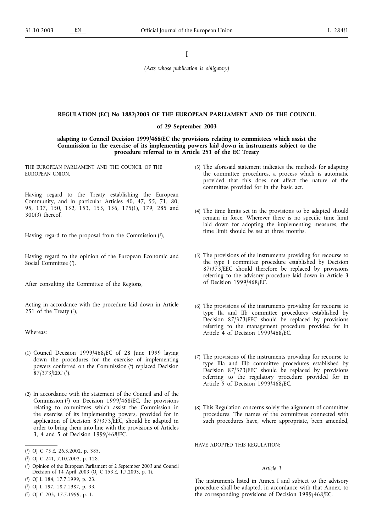I

*(Acts whose publication is obligatory)*

## **REGULATION (EC) No 1882/2003 OF THE EUROPEAN PARLIAMENT AND OF THE COUNCIL**

**of 29 September 2003**

**adapting to Council Decision 1999/468/EC the provisions relating to committees which assist the Commission in the exercise of its implementing powers laid down in instruments subject to the procedure referred to in Article 251 of the EC Treaty**

THE EUROPEAN PARLIAMENT AND THE COUNCIL OF THE EUROPEAN UNION,

Having regard to the Treaty establishing the European Community, and in particular Articles 40, 47, 55, 71, 80, 95, 137, 150, 152, 153, 155, 156, 175(1), 179, 285 and 300(3) thereof,

Having regard to the proposal from the Commission (1),

Having regard to the opinion of the European Economic and Social Committee (2),

After consulting the Committee of the Regions,

Acting in accordance with the procedure laid down in Article 251 of the Treaty  $(3)$ ,

Whereas:

- (1) Council Decision 1999/468/EC of 28 June 1999 laying down the procedures for the exercise of implementing powers conferred on the Commission (4) replaced Decision  $87/373/EEC$  (5).
- (2) In accordance with the statement of the Council and of the Commission (6) on Decision 1999/468/EC, the provisions relating to committees which assist the Commission in the exercise of its implementing powers, provided for in application of Decision 87/373/EEC, should be adapted in order to bring them into line with the provisions of Articles 3, 4 and 5 of Decision 1999/468/EC.

( 5) OJ L 197, 18.7.1987, p. 33.

- (3) The aforesaid statement indicates the methods for adapting the committee procedures, a process which is automatic provided that this does not affect the nature of the committee provided for in the basic act.
- (4) The time limits set in the provisions to be adapted should remain in force. Wherever there is no specific time limit laid down for adopting the implementing measures, the time limit should be set at three months.
- (5) The provisions of the instruments providing for recourse to the type I committee procedure established by Decision 87/373/EEC should therefore be replaced by provisions referring to the advisory procedure laid down in Article 3 of Decision 1999/468/EC.
- (6) The provisions of the instruments providing for recourse to type IIa and IIb committee procedures established by Decision 87/373/EEC should be replaced by provisions referring to the management procedure provided for in Article 4 of Decision 1999/468/EC.
- (7) The provisions of the instruments providing for recourse to type IIIa and IIIb committee procedures established by Decision 87/373/EEC should be replaced by provisions referring to the regulatory procedure provided for in Article 5 of Decision 1999/468/EC.
- (8) This Regulation concerns solely the alignment of committee procedures. The names of the committees connected with such procedures have, where appropriate, been amended,

HAVE ADOPTED THIS REGULATION:

# *Article 1*

The instruments listed in Annex I and subject to the advisory procedure shall be adapted, in accordance with that Annex, to the corresponding provisions of Decision 1999/468/EC.

<sup>(</sup> 1) OJ C 75 E, 26.3.2002, p. 385.

<sup>(</sup> 2) OJ C 241, 7.10.2002, p. 128.

<sup>(</sup> 3) Opinion of the European Parliament of 2 September 2003 and Council Decision of 14 April 2003 (OJ C 153 E, 1.7.2003, p. 1).

<sup>(</sup> 4) OJ L 184, 17.7.1999, p. 23.

<sup>(</sup> 6) OJ C 203, 17.7.1999, p. 1.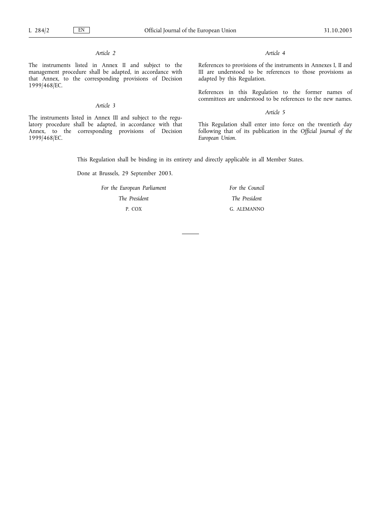# *Article 2*

The instruments listed in Annex II and subject to the management procedure shall be adapted, in accordance with that Annex, to the corresponding provisions of Decision 1999/468/EC.

# *Article 3*

The instruments listed in Annex III and subject to the regulatory procedure shall be adapted, in accordance with that Annex, to the corresponding provisions of Decision 1999/468/EC.

## *Article 4*

References to provisions of the instruments in Annexes I, II and III are understood to be references to those provisions as adapted by this Regulation.

References in this Regulation to the former names of committees are understood to be references to the new names.

## *Article 5*

This Regulation shall enter into force on the twentieth day following that of its publication in the *Official Journal of the European Union*.

This Regulation shall be binding in its entirety and directly applicable in all Member States.

Done at Brussels, 29 September 2003.

*For the European Parliament*

*The President*

P. COX

*For the Council The President* G. ALEMANNO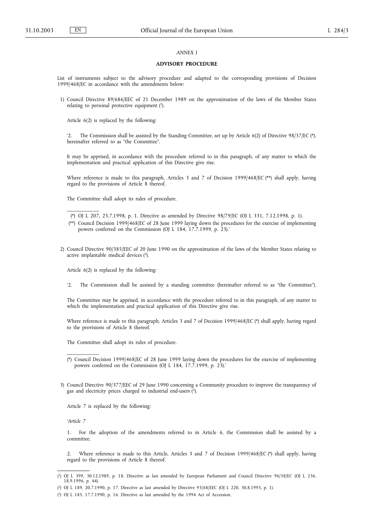# *ANNEX I*

## **ADVISORY PROCEDURE**

List of instruments subject to the advisory procedure and adapted to the corresponding provisions of Decision 1999/468/EC in accordance with the amendments below:

1) Council Directive 89/686/EEC of 21 December 1989 on the approximation of the laws of the Member States relating to personal protective equipment (1).

Article 6(2) is replaced by the following:

'2. The Commission shall be assisted by the Standing Committee, set up by Article 6(2) of Directive 98/37/EC (\*), hereinafter referred to as "the Committee".

It may be apprised, in accordance with the procedure referred to in this paragraph, of any matter to which the implementation and practical application of this Directive give rise.

Where reference is made to this paragraph, Articles 3 and 7 of Decision 1999/468/EC (\*\*) shall apply, having regard to the provisions of Article 8 thereof.

The Committee shall adopt its rules of procedure.

- (\*\*) Council Decision 1999/468/EC of 28 June 1999 laying down the procedures for the exercise of implementing powers conferred on the Commission (OJ L 184, 17.7.1999, p. 23).'
- 2) Council Directive 90/385/EEC of 20 June 1990 on the approximation of the laws of the Member States relating to active implantable medical devices (2).

Article 6(2) is replaced by the following:

\_\_\_\_\_\_\_\_\_\_\_

'2. The Commission shall be assisted by a standing committee (hereinafter referred to as "the Committee").

The Committee may be apprised, in accordance with the procedure referred to in this paragraph, of any matter to which the implementation and practical application of this Directive give rise.

Where reference is made to this paragraph, Articles 3 and 7 of Decision 1999/468/EC (\*) shall apply, having regard to the provisions of Article 8 thereof.

The Committee shall adopt its rules of procedure.

3) Council Directive 90/377/EEC of 29 June 1990 concerning a Community procedure to improve the transparency of gas and electricity prices charged to industrial end-users (3).

Article 7 is replaced by the following:

*'Article 7*

\_\_\_\_\_\_\_\_\_\_\_

1. For the adoption of the amendments referred to in Article 6, the Commission shall be assisted by a committee.

2. Where reference is made to this Article, Articles 3 and 7 of Decision 1999/468/EC (\*) shall apply, having regard to the provisions of Article 8 thereof.

<sup>(\*)</sup> OJ L 207, 23.7.1998, p. 1. Directive as amended by Directive 98/79/EC (OJ L 331, 7.12.1998, p. 1).

<sup>(\*)</sup> Council Decision 1999/468/EC of 28 June 1999 laying down the procedures for the exercise of implementing powers conferred on the Commission (OJ L 184, 17.7.1999, p. 23).'

<sup>(</sup> 1) OJ L 399, 30.12.1989, p. 18. Directive as last amended by European Parliament and Council Directive 96/58/EC (OJ L 236, 18.9.1996, p. 44).

<sup>(</sup> 2) OJ L 189, 20.7.1990, p. 17. Directive as last amended by Directive 93/68/EEC (OJ L 220, 30.8.1993, p. 1).

<sup>(</sup> 3) OJ L 185, 17.7.1990, p. 16. Directive as last amended by the 1994 Act of Accession.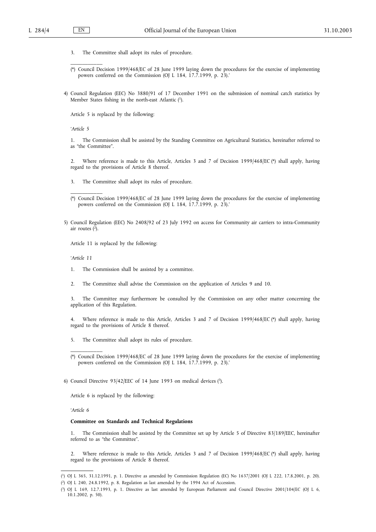\_\_\_\_\_\_\_\_\_\_\_

- 3. The Committee shall adopt its rules of procedure.
- (\*) Council Decision 1999/468/EC of 28 June 1999 laying down the procedures for the exercise of implementing powers conferred on the Commission (OJ L 184, 17.7.1999, p. 23).'
- 4) Council Regulation (EEC) No 3880/91 of 17 December 1991 on the submission of nominal catch statistics by Member States fishing in the north-east Atlantic (1).

Article 5 is replaced by the following:

*'Article 5*

1. The Commission shall be assisted by the Standing Committee on Agricultural Statistics, hereinafter referred to as "the Committee".

2. Where reference is made to this Article, Articles 3 and 7 of Decision 1999/468/EC (\*) shall apply, having regard to the provisions of Article 8 thereof.

3. The Committee shall adopt its rules of procedure.

5) Council Regulation (EEC) No 2408/92 of 23 July 1992 on access for Community air carriers to intra-Community air routes  $(\overline{2})$ .

Article 11 is replaced by the following:

*'Article 11*

\_\_\_\_\_\_\_\_\_\_\_

- 1. The Commission shall be assisted by a committee.
- 2. The Committee shall advise the Commission on the application of Articles 9 and 10.

3. The Committee may furthermore be consulted by the Commission on any other matter concerning the application of this Regulation.

4. Where reference is made to this Article, Articles 3 and 7 of Decision 1999/468/EC (\*) shall apply, having regard to the provisions of Article 8 thereof.

5. The Committee shall adopt its rules of procedure.

6) Council Directive  $93/42/EEC$  of 14 June 1993 on medical devices  $(3)$ .

Article 6 is replaced by the following:

*'Article 6*

\_\_\_\_\_\_\_\_\_\_\_

### **Committee on Standards and Technical Regulations**

1. The Commission shall be assisted by the Committee set up by Article 5 of Directive 83/189/EEC, hereinafter referred to as "the Committee".

2. Where reference is made to this Article, Articles 3 and 7 of Decision 1999/468/EC (\*) shall apply, having regard to the provisions of Article 8 thereof.

<sup>(\*)</sup> Council Decision 1999/468/EC of 28 June 1999 laying down the procedures for the exercise of implementing powers conferred on the Commission (OJ L 184, 17.7.1999, p. 23).'

<sup>(\*)</sup> Council Decision 1999/468/EC of 28 June 1999 laying down the procedures for the exercise of implementing powers conferred on the Commission (OJ L 184, 17.7.1999, p. 23).'

<sup>(</sup> 1) OJ L 365, 31.12.1991, p. 1. Directive as amended by Commission Regulation (EC) No 1637/2001 (OJ L 222, 17.8.2001, p. 20).

<sup>(</sup> 2) OJ L 240, 24.8.1992, p. 8. Regulation as last amended by the 1994 Act of Accession.

<sup>(</sup> 3) OJ L 169, 12.7.1993, p. 1. Directive as last amended by European Parliament and Council Directive 2001/104/EC (OJ L 6, 10.1.2002, p. 50).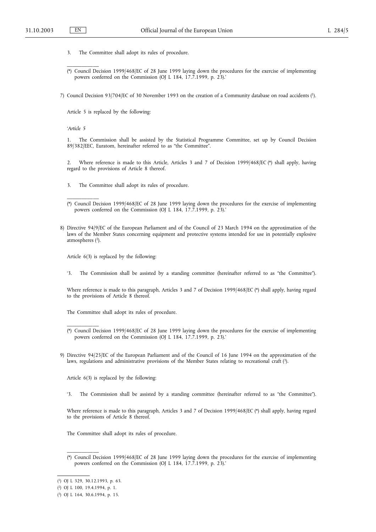- 3. The Committee shall adopt its rules of procedure.
- (\*) Council Decision 1999/468/EC of 28 June 1999 laying down the procedures for the exercise of implementing powers conferred on the Commission (OJ L 184, 17.7.1999, p. 23).'

7) Council Decision 93/704/EC of 30 November 1993 on the creation of a Community database on road accidents (1).

Article 5 is replaced by the following:

*'Article 5*

\_\_\_\_\_\_\_\_\_\_\_

\_\_\_\_\_\_\_\_\_\_\_

\_\_\_\_\_\_\_\_\_\_\_

1. The Commission shall be assisted by the Statistical Programme Committee, set up by Council Decision 89/382/EEC, Euratom, hereinafter referred to as "the Committee".

2. Where reference is made to this Article, Articles 3 and 7 of Decision 1999/468/EC (\*) shall apply, having regard to the provisions of Article 8 thereof.

- 3. The Committee shall adopt its rules of procedure.
- (\*) Council Decision 1999/468/EC of 28 June 1999 laying down the procedures for the exercise of implementing powers conferred on the Commission (OJ L 184, 17.7.1999, p. 23).'
- 8) Directive 94/9/EC of the European Parliament and of the Council of 23 March 1994 on the approximation of the laws of the Member States concerning equipment and protective systems intended for use in potentially explosive atmospheres (2).

Article 6(3) is replaced by the following:

'3. The Commission shall be assisted by a standing committee (hereinafter referred to as "the Committee").

Where reference is made to this paragraph, Articles 3 and 7 of Decision 1999/468/EC (\*) shall apply, having regard to the provisions of Article 8 thereof.

The Committee shall adopt its rules of procedure.

Article 6(3) is replaced by the following:

'3. The Commission shall be assisted by a standing committee (hereinafter referred to as "the Committee").

Where reference is made to this paragraph, Articles 3 and 7 of Decision 1999/468/EC (\*) shall apply, having regard to the provisions of Article 8 thereof.

The Committee shall adopt its rules of procedure.

(\*) Council Decision 1999/468/EC of 28 June 1999 laying down the procedures for the exercise of implementing powers conferred on the Commission (OJ L 184, 17.7.1999, p. 23).'

<sup>(\*)</sup> Council Decision 1999/468/EC of 28 June 1999 laying down the procedures for the exercise of implementing powers conferred on the Commission (OJ L 184, 17.7.1999, p. 23).'

<sup>9)</sup> Directive 94/25/EC of the European Parliament and of the Council of 16 June 1994 on the approximation of the laws, regulations and administrative provisions of the Member States relating to recreational craft (3).

<sup>(</sup> 1) OJ L 329, 30.12.1993, p. 63.

<sup>(</sup> 2) OJ L 100, 19.4.1994, p. 1.

<sup>(</sup> 3) OJ L 164, 30.6.1994, p. 15.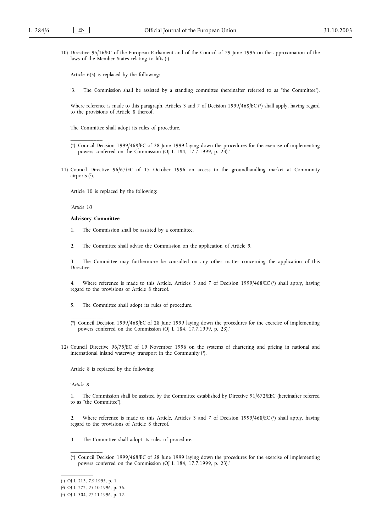10) Directive 95/16/EC of the European Parliament and of the Council of 29 June 1995 on the approximation of the laws of the Member States relating to lifts (1).

Article 6(3) is replaced by the following:

'3. The Commission shall be assisted by a standing committee (hereinafter referred to as "the Committee").

Where reference is made to this paragraph, Articles 3 and 7 of Decision 1999/468/EC (\*) shall apply, having regard to the provisions of Article 8 thereof.

The Committee shall adopt its rules of procedure.

- (\*) Council Decision 1999/468/EC of 28 June 1999 laying down the procedures for the exercise of implementing powers conferred on the Commission (OJ L 184, 17.7.1999, p. 23).'
- 11) Council Directive 96/67/EC of 15 October 1996 on access to the groundhandling market at Community airports (2).

Article 10 is replaced by the following:

*'Article 10*

\_\_\_\_\_\_\_\_\_\_\_

# **Advisory Committee**

1. The Commission shall be assisted by a committee.

2. The Committee shall advise the Commission on the application of Article 9.

3. The Committee may furthermore be consulted on any other matter concerning the application of this Directive.

4. Where reference is made to this Article, Articles 3 and 7 of Decision 1999/468/EC (\*) shall apply, having regard to the provisions of Article 8 thereof.

5. The Committee shall adopt its rules of procedure.

12) Council Directive 96/75/EC of 19 November 1996 on the systems of chartering and pricing in national and international inland waterway transport in the Community (3).

Article 8 is replaced by the following:

*'Article 8*

\_\_\_\_\_\_\_\_\_\_\_

1. The Commission shall be assisted by the Committee established by Directive 91/672/EEC (hereinafter referred to as "the Committee").

2. Where reference is made to this Article, Articles 3 and 7 of Decision 1999/468/EC (\*) shall apply, having regard to the provisions of Article 8 thereof.

- 3. The Committee shall adopt its rules of procedure.
- (\*) Council Decision 1999/468/EC of 28 June 1999 laying down the procedures for the exercise of implementing powers conferred on the Commission (OJ L 184, 17.7.1999, p. 23).'

<sup>(\*)</sup> Council Decision 1999/468/EC of 28 June 1999 laying down the procedures for the exercise of implementing powers conferred on the Commission (OJ L 184, 17.7.1999, p. 23).'

<sup>(</sup> 1) OJ L 213, 7.9.1995, p. 1.

<sup>(</sup> 2) OJ L 272, 25.10.1996, p. 36.

<sup>(</sup> 3) OJ L 304, 27.11.1996, p. 12.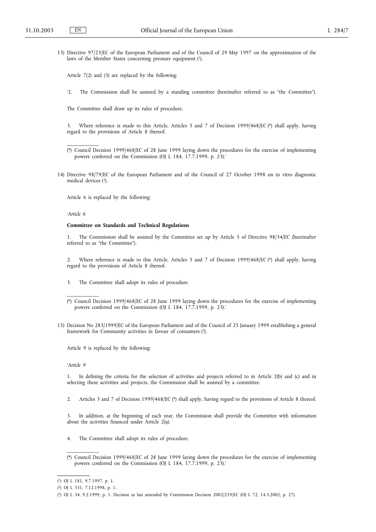13) Directive 97/23/EC of the European Parliament and of the Council of 29 May 1997 on the approximation of the laws of the Member States concerning pressure equipment (1).

Article 7(2) and (3) are replaced by the following:

'2. The Commission shall be assisted by a standing committee (hereinafter referred to as "the Committee").

The Committee shall draw up its rules of procedure.

Where reference is made to this Article, Articles 3 and 7 of Decision 1999/468/EC (\*) shall apply, having regard to the provisions of Article 8 thereof.

14) Directive 98/79/EC of the European Parliament and of the Council of 27 October 1998 on in vitro diagnostic medical devices (2).

Article 6 is replaced by the following:

*'Article 6*

\_\_\_\_\_\_\_\_\_\_\_

## **Committee on Standards and Technical Regulations**

1. The Commission shall be assisted by the Committee set up by Article 5 of Directive 98/34/EC (hereinafter referred to as "the Committee").

2. Where reference is made to this Article, Articles 3 and 7 of Decision 1999/468/EC (\*) shall apply, having regard to the provisions of Article 8 thereof.

3. The Committee shall adopt its rules of procedure.

15) Decision No 283/1999/EC of the European Parliament and of the Council of 25 January 1999 establishing a general framework for Community activities in favour of consumers (3).

Article 9 is replaced by the following:

*'Article 9*

\_\_\_\_\_\_\_\_\_\_\_

1. In defining the criteria for the selection of activities and projects referred to in Article 2(b) and (c) and in selecting these activities and projects, the Commission shall be assisted by a committee.

2. Articles 3 and 7 of Decision 1999/468/EC (\*) shall apply, having regard to the provisions of Article 8 thereof.

In addition, at the beginning of each year, the Commission shall provide the Committee with information about the activities financed under Article 2(a).

- 4. The Committee shall adopt its rules of procedure.
- (\*) Council Decision 1999/468/EC of 28 June 1999 laying down the procedures for the exercise of implementing powers conferred on the Commission (OJ L 184, 17.7.1999, p. 23).'

<sup>(\*)</sup> Council Decision 1999/468/EC of 28 June 1999 laying down the procedures for the exercise of implementing powers conferred on the Commission (OJ L 184, 17.7.1999, p. 23).'

<sup>(\*)</sup> Council Decision 1999/468/EC of 28 June 1999 laying down the procedures for the exercise of implementing powers conferred on the Commission (OJ L 184, 17.7.1999, p. 23).'

<sup>(</sup> 1) OJ L 181, 9.7.1997, p. 1.

<sup>(</sup> 2) OJ L 331, 7.12.1998, p. 1.

<sup>(</sup> 3) OJ L 34, 9.2.1999, p. 1. Decision as last amended by Commission Decision 2002/219/EC (OJ L 72, 14.3.2002, p. 27).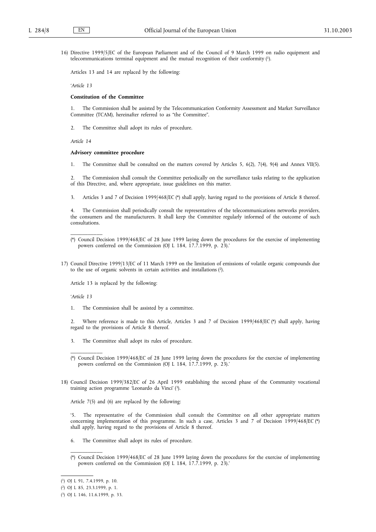16) Directive 1999/5/EC of the European Parliament and of the Council of 9 March 1999 on radio equipment and telecommunications terminal equipment and the mutual recognition of their conformity (1).

Articles 13 and 14 are replaced by the following:

*'Article 13*

### **Constitution of the Committee**

1. The Commission shall be assisted by the Telecommunication Conformity Assessment and Market Surveillance Committee (TCAM), hereinafter referred to as "the Committee".

2. The Committee shall adopt its rules of procedure.

*Article 14*

#### **Advisory committee procedure**

1. The Committee shall be consulted on the matters covered by Articles 5, 6(2), 7(4), 9(4) and Annex VII(5).

2. The Commission shall consult the Committee periodically on the surveillance tasks relating to the application of this Directive, and, where appropriate, issue guidelines on this matter.

3. Articles 3 and 7 of Decision 1999/468/EC (\*) shall apply, having regard to the provisions of Article 8 thereof.

4. The Commission shall periodically consult the representatives of the telecommunications networks providers, the consumers and the manufacturers. It shall keep the Committee regularly informed of the outcome of such consultations.

17) Council Directive 1999/13/EC of 11 March 1999 on the limitation of emissions of volatile organic compounds due to the use of organic solvents in certain activities and installations (2).

Article 13 is replaced by the following:

*'Article 13*

\_\_\_\_\_\_\_\_\_\_\_

\_\_\_\_\_\_\_\_\_\_\_

1. The Commission shall be assisted by a committee.

2. Where reference is made to this Article, Articles 3 and 7 of Decision 1999/468/EC (\*) shall apply, having regard to the provisions of Article 8 thereof.

- 3. The Committee shall adopt its rules of procedure.
- (\*) Council Decision 1999/468/EC of 28 June 1999 laying down the procedures for the exercise of implementing powers conferred on the Commission (OJ L 184, 17.7.1999, p. 23).'
- 18) Council Decision 1999/382/EC of 26 April 1999 establishing the second phase of the Community vocational training action programme 'Leonardo da Vinci' (3).

Article 7(5) and (6) are replaced by the following:

'5. The representative of the Commission shall consult the Committee on all other appropriate matters concerning implementation of this programme. In such a case, Articles 3 and 7 of Decision 1999/468/EC (\*) shall apply, having regard to the provisions of Article 8 thereof.

- 6. The Committee shall adopt its rules of procedure.
- (\*) Council Decision 1999/468/EC of 28 June 1999 laying down the procedures for the exercise of implementing powers conferred on the Commission (OJ L 184, 17.7.1999, p. 23).'

<sup>(\*)</sup> Council Decision 1999/468/EC of 28 June 1999 laying down the procedures for the exercise of implementing powers conferred on the Commission (OJ L 184, 17.7.1999, p. 23).'

<sup>(</sup> 1) OJ L 91, 7.4.1999, p. 10.

<sup>(</sup> 2) OJ L 85, 23.3.1999, p. 1.

<sup>(</sup> 3) OJ L 146, 11.6.1999, p. 33.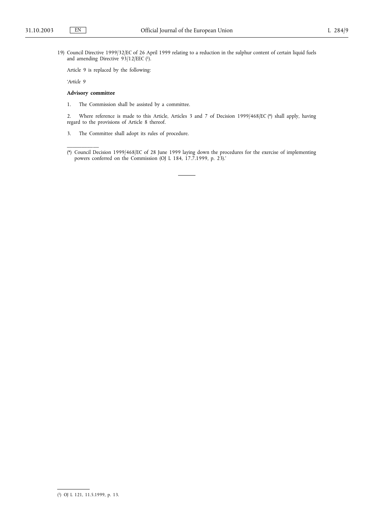19) Council Directive 1999/32/EC of 26 April 1999 relating to a reduction in the sulphur content of certain liquid fuels and amending Directive  $93/12/EEC$  (1).

Article 9 is replaced by the following:

*'Article 9*

# **Advisory committee**

\_\_\_\_\_\_\_\_\_\_\_

1. The Commission shall be assisted by a committee.

2. Where reference is made to this Article, Articles 3 and 7 of Decision 1999/468/EC (\*) shall apply, having regard to the provisions of Article 8 thereof.

3. The Committee shall adopt its rules of procedure.

<sup>(\*)</sup> Council Decision 1999/468/EC of 28 June 1999 laying down the procedures for the exercise of implementing powers conferred on the Commission (OJ L 184, 17.7.1999, p. 23).'

<sup>(</sup> 1) OJ L 121, 11.5.1999, p. 13.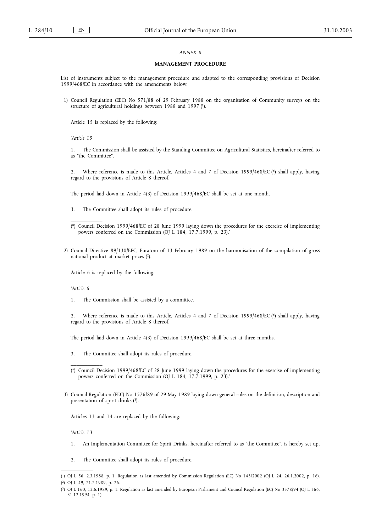# *ANNEX II*

### **MANAGEMENT PROCEDURE**

List of instruments subject to the management procedure and adapted to the corresponding provisions of Decision 1999/468/EC in accordance with the amendments below:

1) Council Regulation (EEC) No 571/88 of 29 February 1988 on the organisation of Community surveys on the structure of agricultural holdings between 1988 and 1997 (1).

Article 15 is replaced by the following:

*'Article 15*

1. The Commission shall be assisted by the Standing Committee on Agricultural Statistics, hereinafter referred to as "the Committee".

2. Where reference is made to this Article, Articles 4 and 7 of Decision 1999/468/EC (\*) shall apply, having regard to the provisions of Article 8 thereof.

The period laid down in Article 4(3) of Decision 1999/468/EC shall be set at one month.

- 3. The Committee shall adopt its rules of procedure.
- (\*) Council Decision 1999/468/EC of 28 June 1999 laying down the procedures for the exercise of implementing powers conferred on the Commission (OJ L 184, 17.7.1999, p. 23).'
- 2) Council Directive 89/130/EEC, Euratom of 13 February 1989 on the harmonisation of the compilation of gross national product at market prices (2).

Article 6 is replaced by the following:

*'Article 6*

\_\_\_\_\_\_\_\_\_\_\_

1. The Commission shall be assisted by a committee.

2. Where reference is made to this Article, Articles 4 and 7 of Decision 1999/468/EC (\*) shall apply, having regard to the provisions of Article 8 thereof.

The period laid down in Article 4(3) of Decision 1999/468/EC shall be set at three months.

- 3. The Committee shall adopt its rules of procedure.
- (\*) Council Decision 1999/468/EC of 28 June 1999 laying down the procedures for the exercise of implementing powers conferred on the Commission (OJ L 184, 17.7.1999, p. 23).'
- 3) Council Regulation (EEC) No 1576/89 of 29 May 1989 laying down general rules on the definition, description and presentation of spirit drinks  $(3)$ .

Articles 13 and 14 are replaced by the following:

*'Article 13*

- 1. An Implementation Committee for Spirit Drinks, hereinafter referred to as "the Committee", is hereby set up.
- 2. The Committee shall adopt its rules of procedure.

<sup>(</sup> 1) OJ L 56, 2.3.1988, p. 1. Regulation as last amended by Commission Regulation (EC) No 143/2002 (OJ L 24, 26.1.2002, p. 16).

<sup>(</sup> 2) OJ L 49, 21.2.1989, p. 26.

<sup>(</sup> 3) OJ L 160, 12.6.1989, p. 1. Regulation as last amended by European Parliament and Council Regulation (EC) No 3378/94 (OJ L 366, 31.12.1994, p. 1).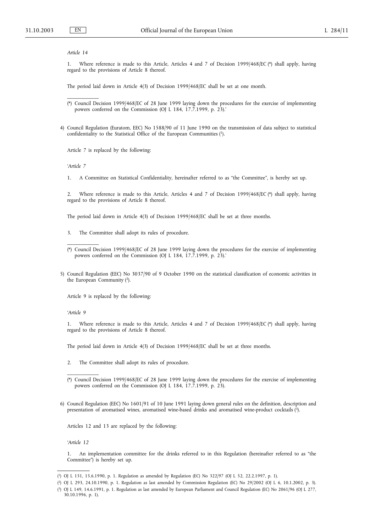### *Article 14*

\_\_\_\_\_\_\_\_\_\_\_

1. Where reference is made to this Article, Articles 4 and 7 of Decision 1999/468/EC (\*) shall apply, having regard to the provisions of Article 8 thereof.

The period laid down in Article 4(3) of Decision 1999/468/EC shall be set at one month.

- (\*) Council Decision 1999/468/EC of 28 June 1999 laying down the procedures for the exercise of implementing powers conferred on the Commission (OJ L 184, 17.7.1999, p. 23).'
- 4) Council Regulation (Euratom, EEC) No 1588/90 of 11 June 1990 on the transmission of data subject to statistical confidentiality to the Statistical Office of the European Communities (1).

Article 7 is replaced by the following:

*'Article 7*

1. A Committee on Statistical Confidentiality, hereinafter referred to as "the Committee", is hereby set up.

2. Where reference is made to this Article, Articles 4 and 7 of Decision 1999/468/EC (\*) shall apply, having regard to the provisions of Article 8 thereof.

The period laid down in Article 4(3) of Decision 1999/468/EC shall be set at three months.

- 3. The Committee shall adopt its rules of procedure.
- (\*) Council Decision 1999/468/EC of 28 June 1999 laying down the procedures for the exercise of implementing powers conferred on the Commission (OJ L 184, 17.7.1999, p. 23).'
- 5) Council Regulation (EEC) No 3037/90 of 9 October 1990 on the statistical classification of economic activities in the European Community (2).

Article 9 is replaced by the following:

*'Article 9*

\_\_\_\_\_\_\_\_\_\_\_

\_\_\_\_\_\_\_\_\_\_\_

1. Where reference is made to this Article, Articles 4 and 7 of Decision 1999/468/EC (\*) shall apply, having regard to the provisions of Article 8 thereof.

The period laid down in Article 4(3) of Decision 1999/468/EC shall be set at three months.

- 2. The Committee shall adopt its rules of procedure.
- (\*) Council Decision 1999/468/EC of 28 June 1999 laying down the procedures for the exercise of implementing powers conferred on the Commission (OJ L 184, 17.7.1999, p. 23).
- 6) Council Regulation (EEC) No 1601/91 of 10 June 1991 laying down general rules on the definition, description and presentation of aromatised wines, aromatised wine-based drinks and aromatised wine-product cocktails (3).

Articles 12 and 13 are replaced by the following:

*'Article 12*

1. An implementation committee for the drinks referred to in this Regulation (hereinafter referred to as "the Committee") is hereby set up.

<sup>(</sup> 1) OJ L 151, 15.6.1990, p. 1. Regulation as amended by Regulation (EC) No 322/97 (OJ L 52, 22.2.1997, p. 1).

<sup>(</sup> 2) OJ L 293, 24.10.1990, p. 1. Regulation as last amended by Commission Regulation (EC) No 29/2002 (OJ L 6, 10.1.2002, p. 3). ( 3) OJ L 149, 14.6.1991, p. 1. Regulation as last amended by European Parliament and Council Regulation (EC) No 2061/96 (OJ L 277, 30.10.1996, p. 1).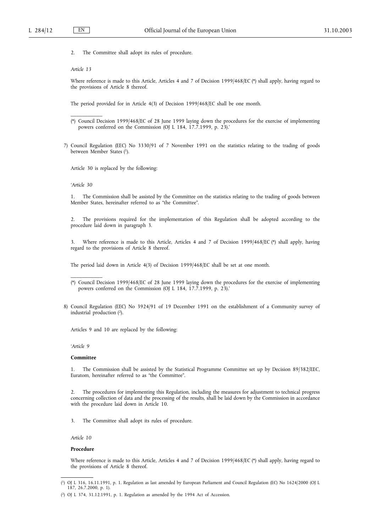2. The Committee shall adopt its rules of procedure.

#### *Article 13*

\_\_\_\_\_\_\_\_\_\_\_

Where reference is made to this Article, Articles 4 and 7 of Decision 1999/468/EC (\*) shall apply, having regard to the provisions of Article 8 thereof.

The period provided for in Article 4(3) of Decision 1999/468/EC shall be one month.

(\*) Council Decision 1999/468/EC of 28 June 1999 laying down the procedures for the exercise of implementing powers conferred on the Commission (OJ L 184, 17.7.1999, p. 23).'

7) Council Regulation (EEC) No 3330/91 of 7 November 1991 on the statistics relating to the trading of goods between Member States (1).

Article 30 is replaced by the following:

*'Article 30*

1. The Commission shall be assisted by the Committee on the statistics relating to the trading of goods between Member States, hereinafter referred to as "the Committee".

2. The provisions required for the implementation of this Regulation shall be adopted according to the procedure laid down in paragraph 3.

3. Where reference is made to this Article, Articles 4 and 7 of Decision 1999/468/EC (\*) shall apply, having regard to the provisions of Article 8 thereof.

The period laid down in Article 4(3) of Decision 1999/468/EC shall be set at one month.

- (\*) Council Decision 1999/468/EC of 28 June 1999 laying down the procedures for the exercise of implementing powers conferred on the Commission (OJ L 184, 17.7.1999, p. 23).'
- 8) Council Regulation (EEC) No 3924/91 of 19 December 1991 on the establishment of a Community survey of industrial production  $(2)$ .

Articles 9 and 10 are replaced by the following:

*'Article 9*

### **Committee**

\_\_\_\_\_\_\_\_\_\_\_

1. The Commission shall be assisted by the Statistical Programme Committee set up by Decision 89/382/EEC, Euratom, hereinafter referred to as "the Committee".

2. The procedures for implementing this Regulation, including the measures for adjustment to technical progress concerning collection of data and the processing of the results, shall be laid down by the Commission in accordance with the procedure laid down in Article 10.

3. The Committee shall adopt its rules of procedure.

*Article 10*

## **Procedure**

Where reference is made to this Article, Articles 4 and 7 of Decision 1999/468/EC (\*) shall apply, having regard to the provisions of Article 8 thereof.

<sup>(</sup> 1) OJ L 316, 16.11.1991, p. 1. Regulation as last amended by European Parliament and Council Regulation (EC) No 1624/2000 (OJ L 187, 26.7.2000, p. 1).

<sup>(</sup> 2) OJ L 374, 31.12.1991, p. 1. Regulation as amended by the 1994 Act of Accession.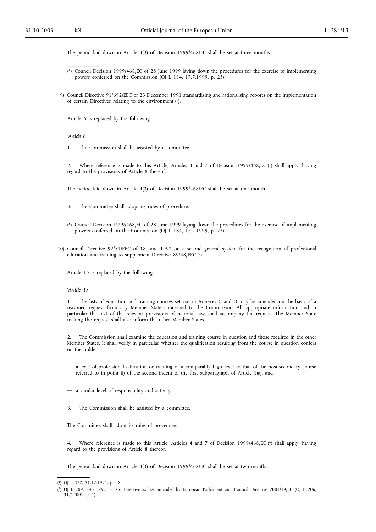The period laid down in Article 4(3) of Decision 1999/468/EC shall be set at three months.

- (\*) Council Decision 1999/468/EC of 28 June 1999 laying down the procedures for the exercise of implementing powers conferred on the Commission (OJ L 184, 17.7.1999, p. 23).'
- 9) Council Directive 91/692/EEC of 23 December 1991 standardising and rationalising reports on the implementation of certain Directives relating to the environment  $(1)$ .

Article 6 is replaced by the following:

*'Article 6*

\_\_\_\_\_\_\_\_\_\_\_

1. The Commission shall be assisted by a committee.

2. Where reference is made to this Article, Articles 4 and 7 of Decision 1999/468/EC (\*) shall apply, having regard to the provisions of Article 8 thereof.

The period laid down in Article 4(3) of Decision 1999/468/EC shall be set at one month.

- 3. The Committee shall adopt its rules of procedure.
- (\*) Council Decision 1999/468/EC of 28 June 1999 laying down the procedures for the exercise of implementing powers conferred on the Commission (OJ L 184, 17.7.1999, p. 23).'
- 10) Council Directive 92/51/EEC of 18 June 1992 on a second general system for the recognition of professional education and training to supplement Directive 89/48/EEC (2).

Article 15 is replaced by the following:

*'Article 15*

\_\_\_\_\_\_\_\_\_\_\_

1. The lists of education and training courses set out in Annexes C and D may be amended on the basis of a reasoned request from any Member State concerned to the Commission. All appropriate information and in particular the text of the relevant provisions of national law shall accompany the request. The Member State making the request shall also inform the other Member States.

2. The Commission shall examine the education and training course in question and those required in the other Member States. It shall verify in particular whether the qualification resulting from the course in question confers on the holder:

- a level of professional education or training of a comparably high level to that of the post-secondary course referred to in point (i) of the second indent of the first subparagraph of Article 1(a), and
- a similar level of responsibility and activity.
- 3. The Commission shall be assisted by a committee.

The Committee shall adopt its rules of procedure.

4. Where reference is made to this Article, Articles 4 and 7 of Decision 1999/468/EC (\*) shall apply, having regard to the provisions of Article 8 thereof.

The period laid down in Article 4(3) of Decision 1999/468/EC shall be set at two months.

<sup>(</sup> 1) OJ L 377, 31.12.1991, p. 48.

<sup>(</sup> 2) OJ L 209, 24.7.1992, p. 25. Directive as last amended by European Parliament and Council Directive 2001/19/EC (OJ L 206, 31.7.2001, p. 1).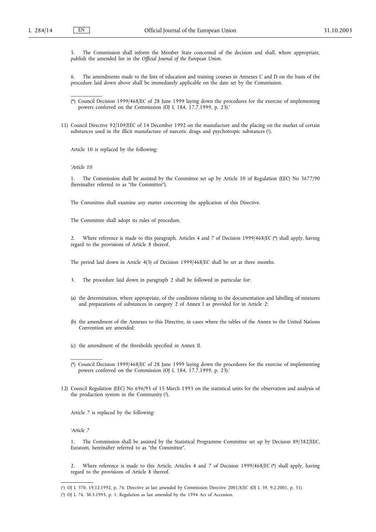5. The Commission shall inform the Member State concerned of the decision and shall, where appropriate, publish the amended list in the *Official Journal of the European Union*.

6. The amendments made to the lists of education and training courses in Annexes C and D on the basis of the procedure laid down above shall be immediately applicable on the date set by the Commission.

(\*) Council Decision 1999/468/EC of 28 June 1999 laying down the procedures for the exercise of implementing powers conferred on the Commission (OJ L 184, 17.7.1999, p. 23).'

11) Council Directive 92/109/EEC of 14 December 1992 on the manufacture and the placing on the market of certain substances used in the illicit manufacture of narcotic drugs and psychotropic substances (1).

Article 10 is replaced by the following:

*'Article 10*

\_\_\_\_\_\_\_\_\_\_\_

1. The Commission shall be assisted by the Committee set up by Article 10 of Regulation (EEC) No 3677/90 (hereinafter referred to as "the Committee").

The Committee shall examine any matter concerning the application of this Directive.

The Committee shall adopt its rules of procedure.

2. Where reference is made to this paragraph, Articles 4 and 7 of Decision 1999/468/EC (\*) shall apply, having regard to the provisions of Article 8 thereof.

The period laid down in Article 4(3) of Decision 1999/468/EC shall be set at three months.

3. The procedure laid down in paragraph 2 shall be followed in particular for:

- (a) the determination, where appropriate, of the conditions relating to the documentation and labelling of mixtures and preparations of substances in category 2 of Annex I as provided for in Article 2;
- (b) the amendment of the Annexes to this Directive, in cases where the tables of the Annex to the United Nations Convention are amended;
- (c) the amendment of the thresholds specified in Annex II.

12) Council Regulation (EEC) No 696/93 of 15 March 1993 on the statistical units for the observation and analysis of the production system in the Community (2).

Article 7 is replaced by the following:

*'Article 7*

\_\_\_\_\_\_\_\_\_\_\_

1. The Commission shall be assisted by the Statistical Programme Committee set up by Decision 89/382/EEC, Euratom, hereinafter referred to as "the Committee".

2. Where reference is made to this Article, Articles 4 and 7 of Decision 1999/468/EC (\*) shall apply, having regard to the provisions of Article 8 thereof.

<sup>(\*)</sup> Council Decision 1999/468/EC of 28 June 1999 laying down the procedures for the exercise of implementing powers conferred on the Commission (OJ L 184, 17.7.1999, p. 23).'

<sup>(</sup> 1) OJ L 370, 19.12.1992, p. 76. Directive as last amended by Commission Directive 2001/8/EC (OJ L 39, 9.2.2001, p. 31).

<sup>(</sup> 2) OJ L 76, 30.3.1993, p. 1. Regulation as last amended by the 1994 Act of Accession.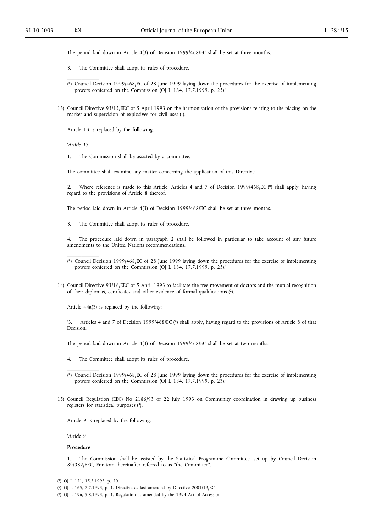\_\_\_\_\_\_\_\_\_\_\_

The period laid down in Article 4(3) of Decision 1999/468/EC shall be set at three months.

- 3. The Committee shall adopt its rules of procedure.
- (\*) Council Decision 1999/468/EC of 28 June 1999 laying down the procedures for the exercise of implementing powers conferred on the Commission (OJ L 184, 17.7.1999, p. 23).'
- 13) Council Directive 93/15/EEC of 5 April 1993 on the harmonisation of the provisions relating to the placing on the market and supervision of explosives for civil uses (1).

Article 13 is replaced by the following:

*'Article 13*

\_\_\_\_\_\_\_\_\_\_\_

1. The Commission shall be assisted by a committee.

The committee shall examine any matter concerning the application of this Directive.

2. Where reference is made to this Article, Articles 4 and 7 of Decision 1999/468/EC (\*) shall apply, having regard to the provisions of Article 8 thereof.

The period laid down in Article 4(3) of Decision 1999/468/EC shall be set at three months.

3. The Committee shall adopt its rules of procedure.

4. The procedure laid down in paragraph 2 shall be followed in particular to take account of any future amendments to the United Nations recommendations.

14) Council Directive 93/16/EEC of 5 April 1993 to facilitate the free movement of doctors and the mutual recognition of their diplomas, certificates and other evidence of formal qualifications (2).

Article 44a(3) is replaced by the following:

'3. Articles 4 and 7 of Decision 1999/468/EC (\*) shall apply, having regard to the provisions of Article 8 of that Decision.

The period laid down in Article 4(3) of Decision 1999/468/EC shall be set at two months.

- 4. The Committee shall adopt its rules of procedure.
- (\*) Council Decision 1999/468/EC of 28 June 1999 laying down the procedures for the exercise of implementing powers conferred on the Commission (OJ L 184, 17.7.1999, p. 23).'
- 15) Council Regulation (EEC) No 2186/93 of 22 July 1993 on Community coordination in drawing up business registers for statistical purposes (3).

Article 9 is replaced by the following:

*'Article 9*

# **Procedure**

\_\_\_\_\_\_\_\_\_\_\_

1. The Commission shall be assisted by the Statistical Programme Committee, set up by Council Decision 89/382/EEC, Euratom, hereinafter referred to as "the Committee".

<sup>(\*)</sup> Council Decision 1999/468/EC of 28 June 1999 laying down the procedures for the exercise of implementing powers conferred on the Commission (OJ L 184, 17.7.1999, p. 23).'

<sup>(</sup> 1) OJ L 121, 15.5.1993, p. 20.

<sup>(</sup> 2) OJ L 165, 7.7.1993, p. 1. Directive as last amended by Directive 2001/19/EC.

<sup>(</sup> 3) OJ L 196, 5.8.1993, p. 1. Regulation as amended by the 1994 Act of Accession.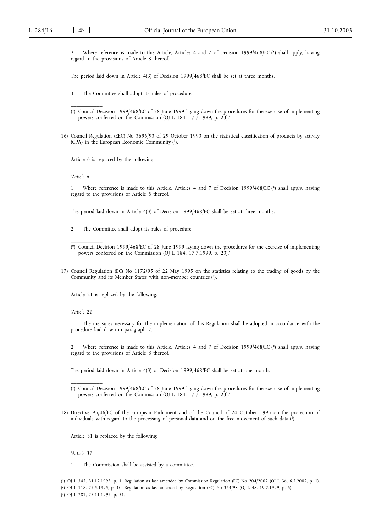2. Where reference is made to this Article, Articles 4 and 7 of Decision 1999/468/EC (\*) shall apply, having regard to the provisions of Article 8 thereof.

The period laid down in Article 4(3) of Decision 1999/468/EC shall be set at three months.

3. The Committee shall adopt its rules of procedure.

- (\*) Council Decision 1999/468/EC of 28 June 1999 laying down the procedures for the exercise of implementing powers conferred on the Commission (OJ L 184, 17.7.1999, p. 23).'
- 16) Council Regulation (EEC) No 3696/93 of 29 October 1993 on the statistical classification of products by activity (CPA) in the European Economic Community (1).

Article 6 is replaced by the following:

*'Article 6*

\_\_\_\_\_\_\_\_\_\_\_

1. Where reference is made to this Article, Articles 4 and 7 of Decision 1999/468/EC (\*) shall apply, having regard to the provisions of Article 8 thereof.

The period laid down in Article 4(3) of Decision 1999/468/EC shall be set at three months.

2. The Committee shall adopt its rules of procedure.

17) Council Regulation (EC) No 1172/95 of 22 May 1995 on the statistics relating to the trading of goods by the Community and its Member States with non-member countries (2).

Article 21 is replaced by the following:

*'Article 21*

\_\_\_\_\_\_\_\_\_\_\_

\_\_\_\_\_\_\_\_\_\_\_

1. The measures necessary for the implementation of this Regulation shall be adopted in accordance with the procedure laid down in paragraph 2.

2. Where reference is made to this Article, Articles 4 and 7 of Decision 1999/468/EC (\*) shall apply, having regard to the provisions of Article 8 thereof.

The period laid down in Article 4(3) of Decision 1999/468/EC shall be set at one month.

18) Directive 95/46/EC of the European Parliament and of the Council of 24 October 1995 on the protection of individuals with regard to the processing of personal data and on the free movement of such data (3).

Article 31 is replaced by the following:

*'Article 31*

1. The Commission shall be assisted by a committee.

<sup>(\*)</sup> Council Decision 1999/468/EC of 28 June 1999 laying down the procedures for the exercise of implementing powers conferred on the Commission (OJ L 184, 17.7.1999, p. 23).'

<sup>(\*)</sup> Council Decision 1999/468/EC of 28 June 1999 laying down the procedures for the exercise of implementing powers conferred on the Commission (OJ L 184, 17.7.1999, p. 23).'

<sup>(</sup> 1) OJ L 342, 31.12.1993, p. 1. Regulation as last amended by Commission Regulation (EC) No 204/2002 (OJ L 36, 6.2.2002, p. 1).

<sup>(</sup> 2) OJ L 118, 25.5.1995, p. 10. Regulation as last amended by Regulation (EC) No 374/98 (OJ L 48, 19.2.1999, p. 6).

<sup>(</sup> 3) OJ L 281, 23.11.1995, p. 31.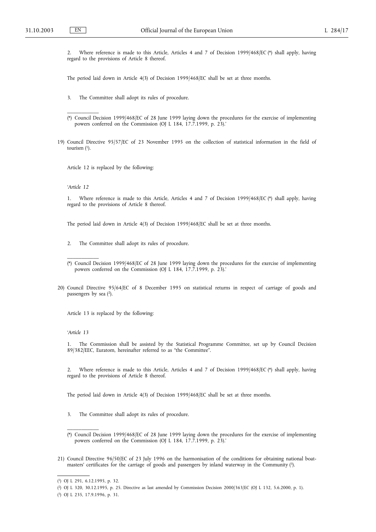2. Where reference is made to this Article, Articles 4 and 7 of Decision 1999/468/EC (\*) shall apply, having regard to the provisions of Article 8 thereof.

The period laid down in Article 4(3) of Decision 1999/468/EC shall be set at three months.

- 3. The Committee shall adopt its rules of procedure.
- (\*) Council Decision 1999/468/EC of 28 June 1999 laying down the procedures for the exercise of implementing powers conferred on the Commission (OJ L 184, 17.7.1999, p. 23).'
- 19) Council Directive 95/57/EC of 23 November 1995 on the collection of statistical information in the field of tourism  $(1)$ .

Article 12 is replaced by the following:

#### *'Article 12*

\_\_\_\_\_\_\_\_\_\_\_

\_\_\_\_\_\_\_\_\_\_\_

Where reference is made to this Article, Articles 4 and 7 of Decision 1999/468/EC (\*) shall apply, having regard to the provisions of Article 8 thereof.

The period laid down in Article 4(3) of Decision 1999/468/EC shall be set at three months.

2. The Committee shall adopt its rules of procedure.

20) Council Directive 95/64/EC of 8 December 1995 on statistical returns in respect of carriage of goods and passengers by sea (2).

Article 13 is replaced by the following:

#### *'Article 13*

1. The Commission shall be assisted by the Statistical Programme Committee, set up by Council Decision 89/382/EEC, Euratom, hereinafter referred to as "the Committee".

2. Where reference is made to this Article, Articles 4 and 7 of Decision 1999/468/EC (\*) shall apply, having regard to the provisions of Article 8 thereof.

The period laid down in Article 4(3) of Decision 1999/468/EC shall be set at three months.

- 3. The Committee shall adopt its rules of procedure.
- (\*) Council Decision 1999/468/EC of 28 June 1999 laying down the procedures for the exercise of implementing powers conferred on the Commission (OJ L 184, 17.7.1999, p. 23).'
- 21) Council Directive 96/50/EC of 23 July 1996 on the harmonisation of the conditions for obtaining national boatmasters' certificates for the carriage of goods and passengers by inland waterway in the Community (3).

<sup>(\*)</sup> Council Decision 1999/468/EC of 28 June 1999 laying down the procedures for the exercise of implementing powers conferred on the Commission (OJ L 184, 17.7.1999, p. 23).'

<sup>(</sup> 1) OJ L 291, 6.12.1995, p. 32.

<sup>(</sup> 2) OJ L 320, 30.12.1995, p. 25. Directive as last amended by Commission Decision 2000/363/EC (OJ L 132, 5.6.2000, p. 1).

<sup>(</sup> 3) OJ L 235, 17.9.1996, p. 31.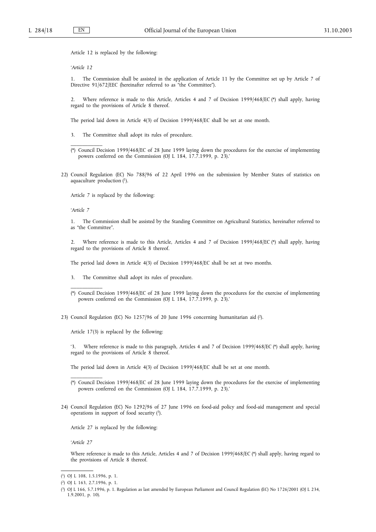Article 12 is replaced by the following:

*'Article 12*

\_\_\_\_\_\_\_\_\_\_\_

1. The Commission shall be assisted in the application of Article 11 by the Committee set up by Article 7 of Directive 91/672/EEC (hereinafter referred to as "the Committee").

2. Where reference is made to this Article, Articles 4 and 7 of Decision 1999/468/EC (\*) shall apply, having regard to the provisions of Article 8 thereof.

The period laid down in Article 4(3) of Decision 1999/468/EC shall be set at one month.

- 3. The Committee shall adopt its rules of procedure.
- (\*) Council Decision 1999/468/EC of 28 June 1999 laying down the procedures for the exercise of implementing powers conferred on the Commission (OJ L 184, 17.7.1999, p. 23).'
- 22) Council Regulation (EC) No 788/96 of 22 April 1996 on the submission by Member States of statistics on aquaculture production (1).

Article 7 is replaced by the following:

*'Article 7*

\_\_\_\_\_\_\_\_\_\_\_

\_\_\_\_\_\_\_\_\_\_\_

1. The Commission shall be assisted by the Standing Committee on Agricultural Statistics, hereinafter referred to as "the Committee".

2. Where reference is made to this Article, Articles 4 and 7 of Decision 1999/468/EC (\*) shall apply, having regard to the provisions of Article 8 thereof.

The period laid down in Article 4(3) of Decision 1999/468/EC shall be set at two months.

- 3. The Committee shall adopt its rules of procedure.
- (\*) Council Decision 1999/468/EC of 28 June 1999 laying down the procedures for the exercise of implementing powers conferred on the Commission (OJ L 184, 17.7.1999, p. 23).'
- 23) Council Regulation (EC) No 1257/96 of 20 June 1996 concerning humanitarian aid (2).

Article 17(3) is replaced by the following:

'3. Where reference is made to this paragraph, Articles 4 and 7 of Decision 1999/468/EC (\*) shall apply, having regard to the provisions of Article 8 thereof.

The period laid down in Article 4(3) of Decision 1999/468/EC shall be set at one month.

24) Council Regulation (EC) No 1292/96 of 27 June 1996 on food-aid policy and food-aid management and special operations in support of food security  $(3)$ .

Article 27 is replaced by the following:

*'Article 27*

Where reference is made to this Article, Articles 4 and 7 of Decision 1999/468/EC (\*) shall apply, having regard to the provisions of Article 8 thereof.

<sup>(\*)</sup> Council Decision 1999/468/EC of 28 June 1999 laying down the procedures for the exercise of implementing powers conferred on the Commission (OJ L 184, 17.7.1999, p. 23).'

<sup>(</sup> 1) OJ L 108, 1.5.1996, p. 1.

<sup>(</sup> 2) OJ L 163, 2.7.1996, p. 1.

<sup>(</sup> 3) OJ L 166, 5.7.1996, p. 1. Regulation as last amended by European Parliament and Council Regulation (EC) No 1726/2001 (OJ L 234, 1.9.2001, p. 10).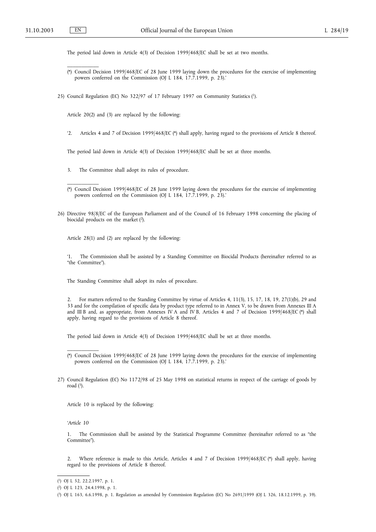\_\_\_\_\_\_\_\_\_\_\_

\_\_\_\_\_\_\_\_\_\_\_

The period laid down in Article 4(3) of Decision 1999/468/EC shall be set at two months.

- (\*) Council Decision 1999/468/EC of 28 June 1999 laying down the procedures for the exercise of implementing powers conferred on the Commission (OJ L 184, 17.7.1999, p. 23).'
- 25) Council Regulation (EC) No 322/97 of 17 February 1997 on Community Statistics (1).

Article 20(2) and (3) are replaced by the following:

'2. Articles 4 and 7 of Decision 1999/468/EC (\*) shall apply, having regard to the provisions of Article 8 thereof.

The period laid down in Article 4(3) of Decision 1999/468/EC shall be set at three months.

- 3. The Committee shall adopt its rules of procedure.
- (\*) Council Decision 1999/468/EC of 28 June 1999 laying down the procedures for the exercise of implementing powers conferred on the Commission (OJ L 184, 17.7.1999, p. 23).'
- 26) Directive 98/8/EC of the European Parliament and of the Council of 16 February 1998 concerning the placing of biocidal products on the market (2).

Article 28(1) and (2) are replaced by the following:

'1. The Commission shall be assisted by a Standing Committee on Biocidal Products (hereinafter referred to as "the Committee").

The Standing Committee shall adopt its rules of procedure.

2. For matters referred to the Standing Committee by virtue of Articles 4, 11(3), 15, 17, 18, 19, 27(1)(b), 29 and 33 and for the compilation of specific data by product type referred to in Annex V, to be drawn from Annexes III A and III B and, as appropriate, from Annexes IV A and IV B, Articles 4 and 7 of Decision 1999/468/EC (\*) shall apply, having regard to the provisions of Article 8 thereof.

The period laid down in Article 4(3) of Decision 1999/468/EC shall be set at three months.

27) Council Regulation (EC) No 1172/98 of 25 May 1998 on statistical returns in respect of the carriage of goods by road  $(3)$ .

Article 10 is replaced by the following:

*'Article 10*

\_\_\_\_\_\_\_\_\_\_\_

1. The Commission shall be assisted by the Statistical Programme Committee (hereinafter referred to as "the Committee").

2. Where reference is made to this Article, Articles 4 and 7 of Decision 1999/468/EC (\*) shall apply, having regard to the provisions of Article 8 thereof.

<sup>(\*)</sup> Council Decision 1999/468/EC of 28 June 1999 laying down the procedures for the exercise of implementing powers conferred on the Commission (OJ L 184, 17.7.1999, p. 23).'

<sup>(</sup> 1) OJ L 52, 22.2.1997, p. 1.

<sup>(</sup> 2) OJ L 123, 24.4.1998, p. 1.

<sup>(</sup> 3) OJ L 163, 6.6.1998, p. 1. Regulation as amended by Commission Regulation (EC) No 2691/1999 (OJ L 326, 18.12.1999, p. 39).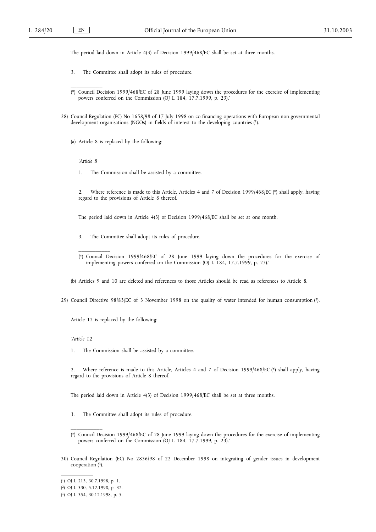The period laid down in Article 4(3) of Decision 1999/468/EC shall be set at three months.

- 3. The Committee shall adopt its rules of procedure.
- (\*) Council Decision 1999/468/EC of 28 June 1999 laying down the procedures for the exercise of implementing powers conferred on the Commission (OJ L 184, 17.7.1999, p. 23).'
- 28) Council Regulation (EC) No 1658/98 of 17 July 1998 on co-financing operations with European non-governmental development organisations (NGOs) in fields of interest to the developing countries (1).
	- (a) Article 8 is replaced by the following:

*'Article 8*

\_\_\_\_\_\_\_\_\_\_\_

\_\_\_\_\_\_\_\_\_\_\_

- 1. The Commission shall be assisted by a committee.
- 2. Where reference is made to this Article, Articles 4 and 7 of Decision 1999/468/EC (\*) shall apply, having regard to the provisions of Article 8 thereof.

The period laid down in Article 4(3) of Decision 1999/468/EC shall be set at one month.

- 3. The Committee shall adopt its rules of procedure.
- (\*) Council Decision 1999/468/EC of 28 June 1999 laying down the procedures for the exercise of implementing powers conferred on the Commission (OJ L 184, 17.7.1999, p. 23).'

(b) Articles 9 and 10 are deleted and references to those Articles should be read as references to Article 8.

29) Council Directive 98/83/EC of 3 November 1998 on the quality of water intended for human consumption (2).

Article 12 is replaced by the following:

*'Article 12*

1. The Commission shall be assisted by a committee.

2. Where reference is made to this Article, Articles 4 and 7 of Decision 1999/468/EC (\*) shall apply, having regard to the provisions of Article 8 thereof.

The period laid down in Article 4(3) of Decision 1999/468/EC shall be set at three months.

- 3. The Committee shall adopt its rules of procedure.
- (\*) Council Decision 1999/468/EC of 28 June 1999 laying down the procedures for the exercise of implementing powers conferred on the Commission (OJ L 184, 17.7.1999, p. 23).'
- 30) Council Regulation (EC) No 2836/98 of 22 December 1998 on integrating of gender issues in development cooperation  $(3)$ .

<sup>(</sup> 1) OJ L 213, 30.7.1998, p. 1.

<sup>(</sup> 2) OJ L 330, 5.12.1998, p. 32.

<sup>(</sup> 3) OJ L 354, 30.12.1998, p. 5.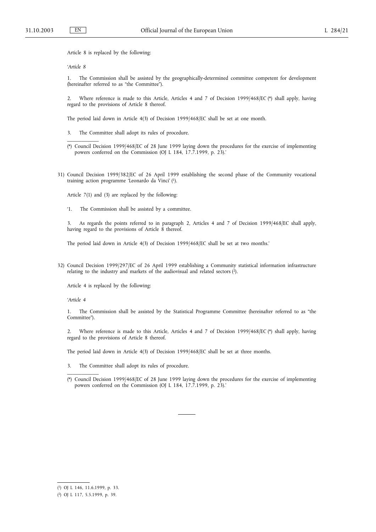Article 8 is replaced by the following:

*'Article 8*

\_\_\_\_\_\_\_\_\_\_\_

1. The Commission shall be assisted by the geographically-determined committee competent for development (hereinafter referred to as "the Committee").

2. Where reference is made to this Article, Articles 4 and 7 of Decision 1999/468/EC (\*) shall apply, having regard to the provisions of Article 8 thereof.

The period laid down in Article 4(3) of Decision 1999/468/EC shall be set at one month.

- 3. The Committee shall adopt its rules of procedure.
- (\*) Council Decision 1999/468/EC of 28 June 1999 laying down the procedures for the exercise of implementing powers conferred on the Commission (OJ L 184, 17.7.1999, p. 23).'
- 31) Council Decision 1999/382/EC of 26 April 1999 establishing the second phase of the Community vocational training action programme 'Leonardo da Vinci' (1).

Article 7(1) and (3) are replaced by the following:

'1. The Commission shall be assisted by a committee.

3. As regards the points referred to in paragraph 2, Articles 4 and 7 of Decision 1999/468/EC shall apply, having regard to the provisions of Article 8 thereof.

The period laid down in Article 4(3) of Decision 1999/468/EC shall be set at two months.'

32) Council Decision 1999/297/EC of 26 April 1999 establishing a Community statistical information infrastructure relating to the industry and markets of the audiovisual and related sectors (2).

Article 4 is replaced by the following:

*'Article 4*

\_\_\_\_\_\_\_\_\_\_\_

1. The Commission shall be assisted by the Statistical Programme Committee (hereinafter referred to as "the Committee").

2. Where reference is made to this Article, Articles 4 and 7 of Decision 1999/468/EC (\*) shall apply, having regard to the provisions of Article 8 thereof.

The period laid down in Article 4(3) of Decision 1999/468/EC shall be set at three months.

- 3. The Committee shall adopt its rules of procedure.
- (\*) Council Decision 1999/468/EC of 28 June 1999 laying down the procedures for the exercise of implementing powers conferred on the Commission (OJ L 184, 17.7.1999, p. 23).'

<sup>(</sup> 1) OJ L 146, 11.6.1999, p. 33.

<sup>(</sup> 2) OJ L 117, 5.5.1999, p. 39.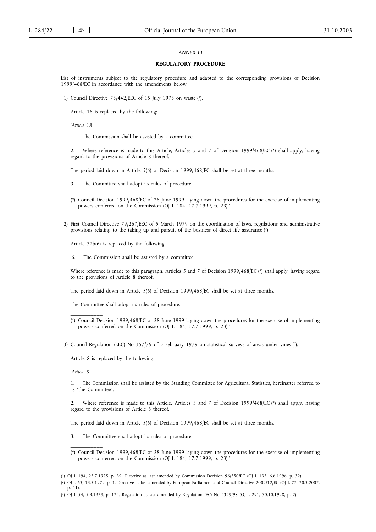# *ANNEX III*

### **REGULATORY PROCEDURE**

List of instruments subject to the regulatory procedure and adapted to the corresponding provisions of Decision 1999/468/EC in accordance with the amendments below:

1) Council Directive 75/442/EEC of 15 July 1975 on waste (1).

Article 18 is replaced by the following:

*'Article 18*

\_\_\_\_\_\_\_\_\_\_\_

1. The Commission shall be assisted by a committee.

2. Where reference is made to this Article, Articles 5 and 7 of Decision 1999/468/EC (\*) shall apply, having regard to the provisions of Article 8 thereof.

The period laid down in Article 5(6) of Decision 1999/468/EC shall be set at three months.

3. The Committee shall adopt its rules of procedure.

(\*) Council Decision 1999/468/EC of 28 June 1999 laying down the procedures for the exercise of implementing powers conferred on the Commission (OJ L 184, 17.7.1999, p. 23).'

2) First Council Directive 79/267/EEC of 5 March 1979 on the coordination of laws, regulations and administrative provisions relating to the taking up and pursuit of the business of direct life assurance (2).

Article 32b(6) is replaced by the following:

'6. The Commission shall be assisted by a committee.

Where reference is made to this paragraph, Articles 5 and 7 of Decision 1999/468/EC (\*) shall apply, having regard to the provisions of Article 8 thereof.

The period laid down in Article 5(6) of Decision 1999/468/EC shall be set at three months.

The Committee shall adopt its rules of procedure.

(\*) Council Decision 1999/468/EC of 28 June 1999 laying down the procedures for the exercise of implementing powers conferred on the Commission (OJ L 184, 17.7.1999, p. 23).'

3) Council Regulation (EEC) No 357/79 of 5 February 1979 on statistical surveys of areas under vines (3).

Article 8 is replaced by the following:

*'Article 8*

\_\_\_\_\_\_\_\_\_\_\_

\_\_\_\_\_\_\_\_\_\_\_

1. The Commission shall be assisted by the Standing Committee for Agricultural Statistics, hereinafter referred to as "the Committee".

2. Where reference is made to this Article, Articles 5 and 7 of Decision 1999/468/EC (\*) shall apply, having regard to the provisions of Article 8 thereof.

The period laid down in Article 5(6) of Decision 1999/468/EC shall be set at three months.

- 3. The Committee shall adopt its rules of procedure.
- (\*) Council Decision 1999/468/EC of 28 June 1999 laying down the procedures for the exercise of implementing powers conferred on the Commission (OJ L 184, 17.7.1999, p. 23).'

<sup>(</sup> 1) OJ L 194, 25.7.1975, p. 39. Directive as last amended by Commission Decision 96/350/EC (OJ L 135, 6.6.1996, p. 32).

<sup>(</sup> 2) OJ L 63, 13.3.1979, p. 1. Directive as last amended by European Parliament and Council Directive 2002/12/EC (OJ L 77, 20.3.2002, p. 11).

<sup>(</sup> 3) OJ L 54, 5.3.1979, p. 124. Regulation as last amended by Regulation (EC) No 2329/98 (OJ L 291, 30.10.1998, p. 2).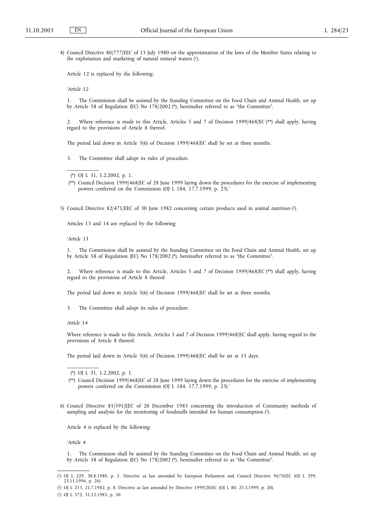4) Council Directive 80/777/EEC of 15 July 1980 on the approximation of the laws of the Member States relating to the exploitation and marketing of natural mineral waters (1).

Article 12 is replaced by the following:

*'Article 12*

1. The Commission shall be assisted by the Standing Committee on the Food Chain and Animal Health, set up by Article 58 of Regulation (EC) No 178/2002 (\*), hereinafter referred to as "the Committee".

2. Where reference is made to this Article, Articles 5 and 7 of Decision 1999/468/EC (\*\*) shall apply, having regard to the provisions of Article 8 thereof.

The period laid down in Article 5(6) of Decision 1999/468/EC shall be set at three months.

3. The Committee shall adopt its rules of procedure.

\_\_\_\_\_\_\_\_\_\_\_

5) Council Directive 82/471/EEC of 30 June 1982 concerning certain products used in animal nutrition (2).

Articles 13 and 14 are replaced by the following:

*'Article 13*

1. The Commission shall be assisted by the Standing Committee on the Food Chain and Animal Health, set up by Article 58 of Regulation (EC) No 178/2002 (\*), hereinafter referred to as "the Committee".

Where reference is made to this Article, Articles 5 and 7 of Decision 1999/468/EC (\*\*) shall apply, having regard to the provisions of Article 8 thereof.

The period laid down in Article 5(6) of Decision 1999/468/EC shall be set at three months.

3. The Committee shall adopt its rules of procedure.

*Article 14*

\_\_\_\_\_\_\_\_\_\_\_

Where reference is made to this Article, Articles 5 and 7 of Decision 1999/468/EC shall apply, having regard to the provisions of Article 8 thereof.

The period laid down in Article 5(6) of Decision 1999/468/EC shall be set at 15 days.

6) Council Directive 85/591/EEC of 20 December 1985 concerning the introduction of Community methods of sampling and analysis for the monitoring of foodstuffs intended for human consumption (3).

Article 4 is replaced by the following:

*'Article 4*

1. The Commission shall be assisted by the Standing Committee on the Food Chain and Animal Health, set up by Article 58 of Regulation (EC) No 178/2002 (\*), hereinafter referred to as "the Committee".

<sup>(\*)</sup> OJ L 31, 1.2.2002, p. 1.

<sup>(\*\*)</sup> Council Decision 1999/468/EC of 28 June 1999 laying down the procedures for the exercise of implementing powers conferred on the Commission (OJ L 184, 17.7.1999, p. 23).'

<sup>(\*)</sup> OJ L 31, 1.2.2002, p. 1.

<sup>(\*\*)</sup> Council Decision 1999/468/EC of 28 June 1999 laying down the procedures for the exercise of implementing powers conferred on the Commission (OJ L 184, 17.7.1999, p. 23).'

<sup>(</sup> 1) OJ L 229, 30.8.1980, p. 1. Directive as last amended by European Parliament and Council Directive 96/70/EC (OJ L 299, 23.11.1996, p. 26).

<sup>(</sup> 2) OJ L 213, 21.7.1982, p. 8. Directive as last amended by Directive 1999/20/EC (OJ L 80, 25.3.1999, p. 20).

<sup>(</sup> 3) OJ L 372, 31.12.1985, p. 50.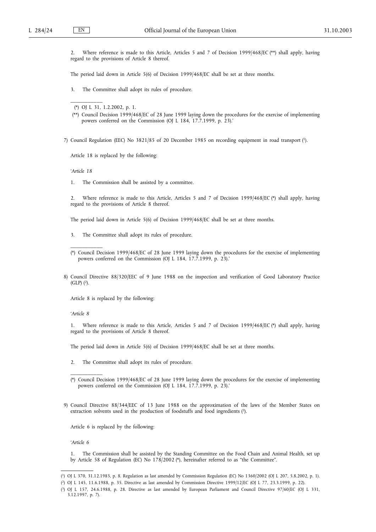2. Where reference is made to this Article, Articles 5 and 7 of Decision 1999/468/EC (\*\*) shall apply, having regard to the provisions of Article 8 thereof.

The period laid down in Article 5(6) of Decision 1999/468/EC shall be set at three months.

3. The Committee shall adopt its rules of procedure.

(\*\*) Council Decision 1999/468/EC of 28 June 1999 laying down the procedures for the exercise of implementing powers conferred on the Commission (OJ L 184, 17.7.1999, p. 23).'

7) Council Regulation (EEC) No 3821/85 of 20 December 1985 on recording equipment in road transport (1).

Article 18 is replaced by the following:

*'Article 18*

\_\_\_\_\_\_\_\_\_\_\_

\_\_\_\_\_\_\_\_\_\_\_

1. The Commission shall be assisted by a committee.

2. Where reference is made to this Article, Articles 5 and 7 of Decision 1999/468/EC (\*) shall apply, having regard to the provisions of Article 8 thereof.

The period laid down in Article 5(6) of Decision 1999/468/EC shall be set at three months.

- 3. The Committee shall adopt its rules of procedure.
- (\*) Council Decision 1999/468/EC of 28 June 1999 laying down the procedures for the exercise of implementing powers conferred on the Commission (OJ L 184, 17.7.1999, p. 23).'
- 8) Council Directive 88/320/EEC of 9 June 1988 on the inspection and verification of Good Laboratory Practice  $(GLP)$   $(2)$ .

Article 8 is replaced by the following:

*'Article 8*

\_\_\_\_\_\_\_\_\_\_\_

1. Where reference is made to this Article, Articles 5 and 7 of Decision 1999/468/EC (\*) shall apply, having regard to the provisions of Article 8 thereof.

The period laid down in Article 5(6) of Decision 1999/468/EC shall be set at three months.

2. The Committee shall adopt its rules of procedure.

9) Council Directive 88/344/EEC of 13 June 1988 on the approximation of the laws of the Member States on extraction solvents used in the production of foodstuffs and food ingredients (3).

Article 6 is replaced by the following:

*'Article 6*

1. The Commission shall be assisted by the Standing Committee on the Food Chain and Animal Health, set up by Article 58 of Regulation (EC) No 178/2002 (\*), hereinafter referred to as "the Committee".

<sup>(\*)</sup> OJ L 31, 1.2.2002, p. 1.

<sup>(\*)</sup> Council Decision 1999/468/EC of 28 June 1999 laying down the procedures for the exercise of implementing powers conferred on the Commission (OJ L 184, 17.7.1999, p. 23).'

<sup>(</sup> 1) OJ L 370, 31.12.1985, p. 8. Regulation as last amended by Commission Regulation (EC) No 1360/2002 (OJ L 207, 5.8.2002, p. 1).

<sup>(</sup> 2) OJ L 145, 11.6.1988, p. 35. Directive as last amended by Commission Directive 1999/12/EC (OJ L 77, 23.3.1999, p. 22).

<sup>(</sup> 3) OJ L 157, 24.6.1988, p. 28. Directive as last amended by European Parliament and Council Directive 97/60/EC (OJ L 331, 3.12.1997, p. 7).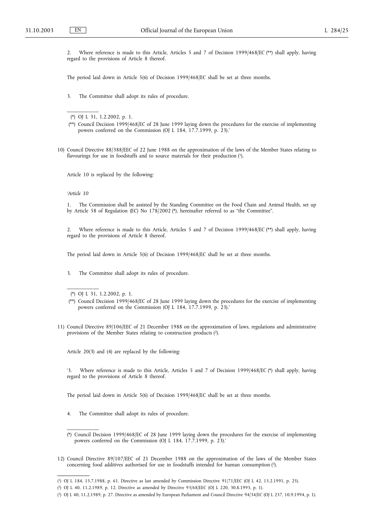2. Where reference is made to this Article, Articles 5 and 7 of Decision 1999/468/EC (\*\*) shall apply, having regard to the provisions of Article 8 thereof.

The period laid down in Article 5(6) of Decision 1999/468/EC shall be set at three months.

3. The Committee shall adopt its rules of procedure.

(\*) OJ L 31, 1.2.2002, p. 1.

\_\_\_\_\_\_\_\_\_\_\_

- (\*\*) Council Decision 1999/468/EC of 28 June 1999 laying down the procedures for the exercise of implementing powers conferred on the Commission (OJ L 184, 17.7.1999, p. 23).'
- 10) Council Directive 88/388/EEC of 22 June 1988 on the approximation of the laws of the Member States relating to flavourings for use in foodstuffs and to source materials for their production (1).

Article 10 is replaced by the following:

# *'Article 10*

1. The Commission shall be assisted by the Standing Committee on the Food Chain and Animal Health, set up by Article 58 of Regulation (EC) No 178/2002 (\*), hereinafter referred to as "the Committee".

2. Where reference is made to this Article, Articles 5 and 7 of Decision 1999/468/EC (\*\*) shall apply, having regard to the provisions of Article 8 thereof.

The period laid down in Article 5(6) of Decision 1999/468/EC shall be set at three months.

3. The Committee shall adopt its rules of procedure.

(\*) OJ L 31, 1.2.2002, p. 1.

\_\_\_\_\_\_\_\_\_\_\_

\_\_\_\_\_\_\_\_\_\_\_

- (\*\*) Council Decision 1999/468/EC of 28 June 1999 laying down the procedures for the exercise of implementing powers conferred on the Commission (OJ L 184, 17.7.1999, p. 23).'
- 11) Council Directive 89/106/EEC of 21 December 1988 on the approximation of laws, regulations and administrative provisions of the Member States relating to construction products (2).

Article 20(3) and (4) are replaced by the following:

'3. Where reference is made to this Article, Articles 5 and 7 of Decision 1999/468/EC (\*) shall apply, having regard to the provisions of Article 8 thereof.

The period laid down in Article 5(6) of Decision 1999/468/EC shall be set at three months.

- 4. The Committee shall adopt its rules of procedure.
- (\*) Council Decision 1999/468/EC of 28 June 1999 laying down the procedures for the exercise of implementing powers conferred on the Commission (OJ L 184, 17.7.1999, p. 23).'
- 12) Council Directive 89/107/EEC of 21 December 1988 on the approximation of the laws of the Member States concerning food additives authorised for use in foodstuffs intended for human consumption (3).

<sup>(</sup> 1) OJ L 184, 15.7.1988, p. 61. Directive as last amended by Commission Directive 91/71/EEC (OJ L 42, 15.2.1991, p. 25).

<sup>(</sup> 2) OJ L 40, 11.2.1989, p. 12. Directive as amended by Directive 93/68/EEC (OJ L 220, 30.8.1993, p. 1).

<sup>(</sup> 3) OJ L 40, 11.2.1989, p. 27. Directive as amended by European Parliament and Council Directive 94/34/EC (OJ L 237, 10.9.1994, p. 1).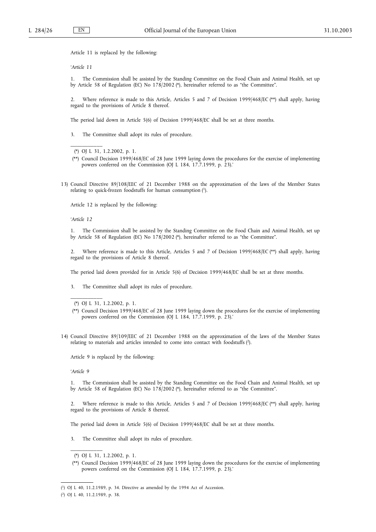Article 11 is replaced by the following:

*'Article 11*

\_\_\_\_\_\_\_\_\_\_\_

1. The Commission shall be assisted by the Standing Committee on the Food Chain and Animal Health, set up by Article 58 of Regulation (EC) No 178/2002 (\*), hereinafter referred to as "the Committee".

2. Where reference is made to this Article, Articles 5 and 7 of Decision 1999/468/EC (\*\*) shall apply, having regard to the provisions of Article 8 thereof.

The period laid down in Article 5(6) of Decision 1999/468/EC shall be set at three months.

3. The Committee shall adopt its rules of procedure.

(\*) OJ L 31, 1.2.2002, p. 1.

- (\*\*) Council Decision 1999/468/EC of 28 June 1999 laying down the procedures for the exercise of implementing powers conferred on the Commission (OJ L 184, 17.7.1999, p. 23).'
- 13) Council Directive 89/108/EEC of 21 December 1988 on the approximation of the laws of the Member States relating to quick-frozen foodstuffs for human consumption (1).

Article 12 is replaced by the following:

*'Article 12*

1. The Commission shall be assisted by the Standing Committee on the Food Chain and Animal Health, set up by Article 58 of Regulation (EC) No 178/2002 (\*), hereinafter referred to as "the Committee".

2. Where reference is made to this Article, Articles 5 and 7 of Decision 1999/468/EC (\*\*) shall apply, having regard to the provisions of Article 8 thereof.

The period laid down provided for in Article 5(6) of Decision 1999/468/EC shall be set at three months.

3. The Committee shall adopt its rules of procedure.

\_\_\_\_\_\_\_\_\_\_\_

- (\*\*) Council Decision 1999/468/EC of 28 June 1999 laying down the procedures for the exercise of implementing powers conferred on the Commission (OJ L 184, 17.7.1999, p. 23).'
- 14) Council Directive 89/109/EEC of 21 December 1988 on the approximation of the laws of the Member States relating to materials and articles intended to come into contact with foodstuffs (2).

Article 9 is replaced by the following:

*'Article 9*

1. The Commission shall be assisted by the Standing Committee on the Food Chain and Animal Health, set up by Article 58 of Regulation (EC) No 178/2002 (\*), hereinafter referred to as "the Committee".

2. Where reference is made to this Article, Articles 5 and 7 of Decision 1999/468/EC (\*\*) shall apply, having regard to the provisions of Article 8 thereof.

The period laid down in Article 5(6) of Decision 1999/468/EC shall be set at three months.

3. The Committee shall adopt its rules of procedure.

<sup>(\*)</sup> OJ L 31, 1.2.2002, p. 1.

<sup>(\*)</sup> OJ L 31, 1.2.2002, p. 1.

<sup>(\*\*)</sup> Council Decision 1999/468/EC of 28 June 1999 laying down the procedures for the exercise of implementing powers conferred on the Commission (OJ L 184, 17.7.1999, p. 23).'

<sup>(</sup> 1) OJ L 40, 11.2.1989, p. 34. Directive as amended by the 1994 Act of Accession.

<sup>(</sup> 2) OJ L 40, 11.2.1989, p. 38.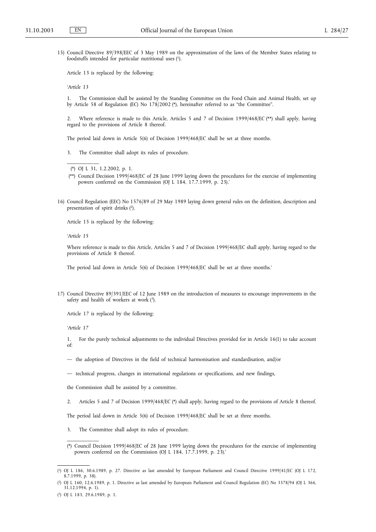15) Council Directive 89/398/EEC of 3 May 1989 on the approximation of the laws of the Member States relating to foodstuffs intended for particular nutritional uses (1).

Article 13 is replaced by the following:

*'Article 13*

1. The Commission shall be assisted by the Standing Committee on the Food Chain and Animal Health, set up by Article 58 of Regulation (EC) No 178/2002 (\*), hereinafter referred to as "the Committee".

2. Where reference is made to this Article, Articles 5 and 7 of Decision 1999/468/EC (\*\*) shall apply, having regard to the provisions of Article 8 thereof.

The period laid down in Article 5(6) of Decision 1999/468/EC shall be set at three months.

3. The Committee shall adopt its rules of procedure.

\_\_\_\_\_\_\_\_\_\_\_

- (\*\*) Council Decision 1999/468/EC of 28 June 1999 laying down the procedures for the exercise of implementing powers conferred on the Commission (OJ L 184, 17.7.1999, p. 23).'
- 16) Council Regulation (EEC) No 1576/89 of 29 May 1989 laying down general rules on the definition, description and presentation of spirit drinks (2).

Article 15 is replaced by the following:

*'Article 15*

Where reference is made to this Article, Articles 5 and 7 of Decision 1999/468/EC shall apply, having regard to the provisions of Article 8 thereof.

The period laid down in Article 5(6) of Decision 1999/468/EC shall be set at three months.'

17) Council Directive 89/391/EEC of 12 June 1989 on the introduction of measures to encourage improvements in the safety and health of workers at work (3).

Article 17 is replaced by the following:

*'Article 17*

1. For the purely technical adjustments to the individual Directives provided for in Article 16(1) to take account of:

- the adoption of Directives in the field of technical harmonisation and standardisation, and/or
- technical progress, changes in international regulations or specifications, and new findings,

the Commission shall be assisted by a committee.

2. Articles 5 and 7 of Decision 1999/468/EC (\*) shall apply, having regard to the provisions of Article 8 thereof.

The period laid down in Article 5(6) of Decision 1999/468/EC shall be set at three months.

3. The Committee shall adopt its rules of procedure.

<sup>(\*)</sup> OJ L 31, 1.2.2002, p. 1.

<sup>(\*)</sup> Council Decision 1999/468/EC of 28 June 1999 laying down the procedures for the exercise of implementing powers conferred on the Commission (OJ L 184, 17.7.1999, p. 23).'

<sup>(</sup> 1) OJ L 186, 30.6.1989, p. 27. Directive as last amended by European Parliament and Council Directive 1999/41/EC (OJ L 172, 8.7.1999, p. 38).

<sup>(</sup> 2) OJ L 160, 12.6.1989, p. 1. Directive as last amended by European Parliament and Council Regulation (EC) No 3378/94 (OJ L 366, 31.12.1994, p. 1).

<sup>(</sup> 3) OJ L 183, 29.6.1989, p. 1.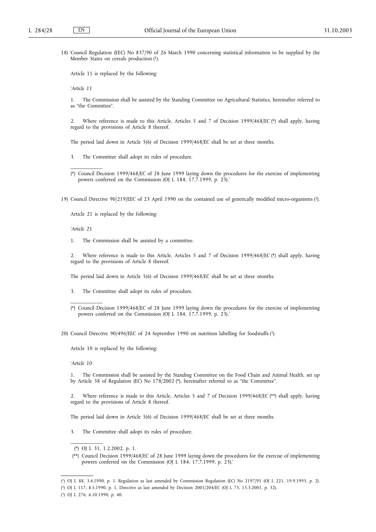18) Council Regulation (EEC) No 837/90 of 26 March 1990 concerning statistical information to be supplied by the Member States on cereals production (1).

Article 11 is replaced by the following:

*'Article 11*

1. The Commission shall be assisted by the Standing Committee on Agricultural Statistics, hereinafter referred to as "the Committee".

2. Where reference is made to this Article, Articles 5 and 7 of Decision 1999/468/EC (\*) shall apply, having regard to the provisions of Article 8 thereof.

The period laid down in Article 5(6) of Decision 1999/468/EC shall be set at three months.

- 3. The Committee shall adopt its rules of procedure.
- (\*) Council Decision 1999/468/EC of 28 June 1999 laying down the procedures for the exercise of implementing powers conferred on the Commission (OJ L 184, 17.7.1999, p. 23).'
- 19) Council Directive 90/219/EEC of 23 April 1990 on the contained use of genetically modified micro-organisms (2).

Article 21 is replaced by the following:

*'Article 21*

\_\_\_\_\_\_\_\_\_\_\_

1. The Commission shall be assisted by a committee.

2. Where reference is made to this Article, Articles 5 and 7 of Decision 1999/468/EC (\*) shall apply, having regard to the provisions of Article 8 thereof.

The period laid down in Article 5(6) of Decision 1999/468/EC shall be set at three months.

- 3. The Committee shall adopt its rules of procedure.
- (\*) Council Decision 1999/468/EC of 28 June 1999 laying down the procedures for the exercise of implementing powers conferred on the Commission (OJ L 184, 17.7.1999, p. 23).'

20) Council Directive 90/496/EEC of 24 September 1990 on nutrition labelling for foodstuffs (3).

Article 10 is replaced by the following:

*'Article 10*

\_\_\_\_\_\_\_\_\_\_\_

1. The Commission shall be assisted by the Standing Committee on the Food Chain and Animal Health, set up by Article 58 of Regulation (EC) No 178/2002 (\*), hereinafter referred to as "the Committee".

2. Where reference is made to this Article, Articles 5 and 7 of Decision 1999/468/EC (\*\*) shall apply, having regard to the provisions of Article 8 thereof.

The period laid down in Article 5(6) of Decision 1999/468/EC shall be set at three months.

3. The Committee shall adopt its rules of procedure.

<sup>(\*)</sup> OJ L 31, 1.2.2002, p. 1.

<sup>(\*\*)</sup> Council Decision 1999/468/EC of 28 June 1999 laying down the procedures for the exercise of implementing powers conferred on the Commission (OJ L 184, 17.7.1999, p. 23).'

<sup>(</sup> 1) OJ L 88, 3.4.1990, p. 1. Regulation as last amended by Commission Regulation (EC) No 2197/95 (OJ L 221, 19.9.1995, p. 2).

<sup>(</sup> 2) OJ L 117, 8.5.1990, p. 1. Directive as last amended by Decision 2001/204/EC (OJ L 73, 15.3.2001, p. 32).

<sup>(</sup> 3) OJ L 276, 6.10.1990, p. 40.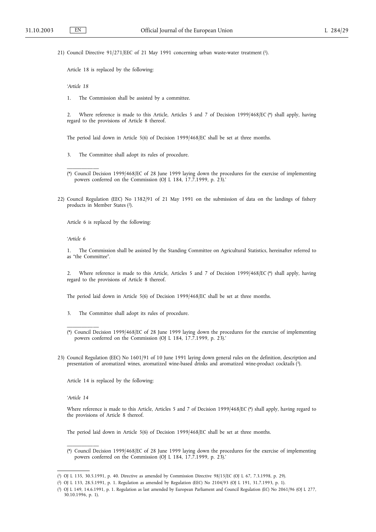21) Council Directive 91/271/EEC of 21 May 1991 concerning urban waste-water treatment (1).

Article 18 is replaced by the following:

*'Article 18*

1. The Commission shall be assisted by a committee.

2. Where reference is made to this Article, Articles 5 and 7 of Decision 1999/468/EC (\*) shall apply, having regard to the provisions of Article 8 thereof.

The period laid down in Article 5(6) of Decision 1999/468/EC shall be set at three months.

- 3. The Committee shall adopt its rules of procedure.
- (\*) Council Decision 1999/468/EC of 28 June 1999 laying down the procedures for the exercise of implementing powers conferred on the Commission (OJ L 184, 17.7.1999, p. 23).'
- 22) Council Regulation (EEC) No 1382/91 of 21 May 1991 on the submission of data on the landings of fishery products in Member States (2).

Article 6 is replaced by the following:

*'Article 6*

\_\_\_\_\_\_\_\_\_\_\_

1. The Commission shall be assisted by the Standing Committee on Agricultural Statistics, hereinafter referred to as "the Committee".

2. Where reference is made to this Article, Articles 5 and 7 of Decision 1999/468/EC (\*) shall apply, having regard to the provisions of Article 8 thereof.

The period laid down in Article 5(6) of Decision 1999/468/EC shall be set at three months.

- 3. The Committee shall adopt its rules of procedure.
- (\*) Council Decision 1999/468/EC of 28 June 1999 laying down the procedures for the exercise of implementing powers conferred on the Commission (OJ L 184, 17.7.1999, p. 23).'
- 23) Council Regulation (EEC) No 1601/91 of 10 June 1991 laying down general rules on the definition, description and presentation of aromatized wines, aromatized wine-based drinks and aromatized wine-product cocktails (3).

Article 14 is replaced by the following:

*'Article 14*

\_\_\_\_\_\_\_\_\_\_\_

\_\_\_\_\_\_\_\_\_\_\_

Where reference is made to this Article, Articles 5 and 7 of Decision 1999/468/EC (\*) shall apply, having regard to the provisions of Article 8 thereof.

The period laid down in Article 5(6) of Decision 1999/468/EC shall be set at three months.

<sup>(\*)</sup> Council Decision 1999/468/EC of 28 June 1999 laying down the procedures for the exercise of implementing powers conferred on the Commission (OJ L 184, 17.7.1999, p. 23).'

<sup>(</sup> 1) OJ L 135, 30.5.1991, p. 40. Directive as amended by Commission Directive 98/15/EC (OJ L 67, 7.3.1998, p. 29).

<sup>(</sup> 2) OJ L 133, 28.5.1991, p. 1. Regulation as amended by Regulation (EEC) No 2104/93 (OJ L 191, 31.7.1993, p. 1).

<sup>(</sup> 3) OJ L 149, 14.6.1991, p. 1. Regulation as last amended by European Parliament and Council Regulation (EC) No 2061/96 (OJ L 277, 30.10.1996, p. 1).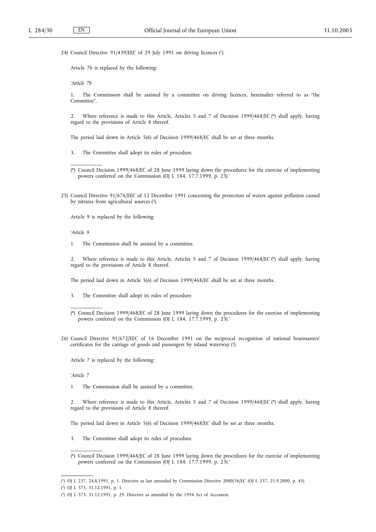24) Council Directive 91/439/EEC of 29 July 1991 on driving licences (1).

Article 7b is replaced by the following:

*'Article 7b*

1. The Commission shall be assisted by a committee on driving licences, hereinafter referred to as "the Committee".

2. Where reference is made to this Article, Articles 5 and 7 of Decision 1999/468/EC (\*) shall apply, having regard to the provisions of Article 8 thereof.

The period laid down in Article 5(6) of Decision 1999/468/EC shall be set at three months.

- 3. The Committee shall adopt its rules of procedure.
- (\*) Council Decision 1999/468/EC of 28 June 1999 laying down the procedures for the exercise of implementing powers conferred on the Commission (OJ L 184, 17.7.1999, p. 23).'
- 25) Council Directive 91/676/EEC of 12 December 1991 concerning the protection of waters against pollution caused by nitrates from agricultural sources (2).

Article 9 is replaced by the following:

*'Article 9*

\_\_\_\_\_\_\_\_\_\_\_

1. The Commission shall be assisted by a committee.

2. Where reference is made to this Article, Articles 5 and 7 of Decision 1999/468/EC (\*) shall apply, having regard to the provisions of Article 8 thereof.

The period laid down in Article 5(6) of Decision 1999/468/EC shall be set at three months.

- 3. The Committee shall adopt its rules of procedure.
- (\*) Council Decision 1999/468/EC of 28 June 1999 laying down the procedures for the exercise of implementing powers conferred on the Commission (OJ L 184, 17.7.1999, p. 23).'
- 26) Council Directive 91/672/EEC of 16 December 1991 on the reciprocal recognition of national boatmasters' certificates for the carriage of goods and passengers by inland waterway (3).

Article 7 is replaced by the following:

*'Article 7*

\_\_\_\_\_\_\_\_\_\_\_

1. The Commission shall be assisted by a committee.

2. Where reference is made to this Article, Articles 5 and 7 of Decision 1999/468/EC (\*) shall apply, having regard to the provisions of Article 8 thereof.

The period laid down in Article 5(6) of Decision 1999/468/EC shall be set at three months.

- 3. The Committee shall adopt its rules of procedure.
- (\*) Council Decision 1999/468/EC of 28 June 1999 laying down the procedures for the exercise of implementing powers conferred on the Commission (OJ L 184, 17.7.1999, p. 23).'

( 2) OJ L 375, 31.12.1991, p. 1.

<sup>(</sup> 1) OJ L 237, 24.8.1991, p. 1. Directive as last amended by Commission Directive 2000/56/EC (OJ L 237, 21.9.2000, p. 45).

<sup>(</sup> 3) OJ L 373, 31.12.1991, p. 29. Directive as amended by the 1994 Act of Accession.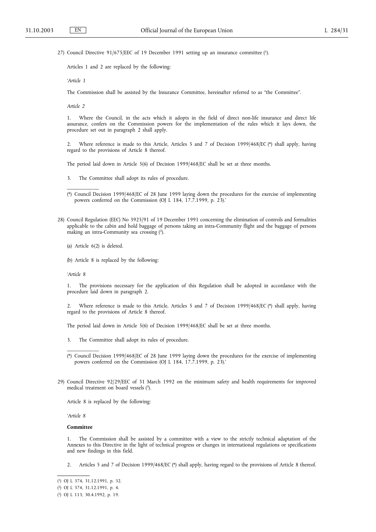27) Council Directive 91/675/EEC of 19 December 1991 setting up an insurance committee (1).

Articles 1 and 2 are replaced by the following:

*'Article 1*

The Commission shall be assisted by the Insurance Committee, hereinafter referred to as "the Committee".

*Article 2*

\_\_\_\_\_\_\_\_\_\_\_

1. Where the Council, in the acts which it adopts in the field of direct non-life insurance and direct life assurance, confers on the Commission powers for the implementation of the rules which it lays down, the procedure set out in paragraph 2 shall apply.

2. Where reference is made to this Article, Articles 5 and 7 of Decision 1999/468/EC (\*) shall apply, having regard to the provisions of Article 8 thereof.

The period laid down in Article 5(6) of Decision 1999/468/EC shall be set at three months.

- 3. The Committee shall adopt its rules of procedure.
- (\*) Council Decision 1999/468/EC of 28 June 1999 laying down the procedures for the exercise of implementing powers conferred on the Commission (OJ L 184, 17.7.1999, p. 23).'
- 28) Council Regulation (EEC) No 3925/91 of 19 December 1991 concerning the elimination of controls and formalities applicable to the cabin and hold baggage of persons taking an intra-Community flight and the baggage of persons making an intra-Community sea crossing (2).
	- (a) Article 6(2) is deleted.
	- (b) Article 8 is replaced by the following:

*'Article 8*

1. The provisions necessary for the application of this Regulation shall be adopted in accordance with the procedure laid down in paragraph 2.

2. Where reference is made to this Article, Articles 5 and 7 of Decision 1999/468/EC (\*) shall apply, having regard to the provisions of Article 8 thereof.

The period laid down in Article 5(6) of Decision 1999/468/EC shall be set at three months.

3. The Committee shall adopt its rules of procedure.

29) Council Directive 92/29/EEC of 31 March 1992 on the minimum safety and health requirements for improved medical treatment on board vessels (3).

Article 8 is replaced by the following:

*'Article 8*

# **Committee**

\_\_\_\_\_\_\_\_\_\_\_

1. The Commission shall be assisted by a committee with a view to the strictly technical adaptation of the Annexes to this Directive in the light of technical progress or changes in international regulations or specifications and new findings in this field.

2. Articles 5 and 7 of Decision 1999/468/EC (\*) shall apply, having regard to the provisions of Article 8 thereof.

<sup>(\*)</sup> Council Decision 1999/468/EC of 28 June 1999 laying down the procedures for the exercise of implementing powers conferred on the Commission (OJ L 184, 17.7.1999, p. 23).'

<sup>(</sup> 1) OJ L 374, 31.12.1991, p. 32.

<sup>(</sup> 2) OJ L 374, 31.12.1991, p. 4.

<sup>(</sup> 3) OJ L 113, 30.4.1992, p. 19.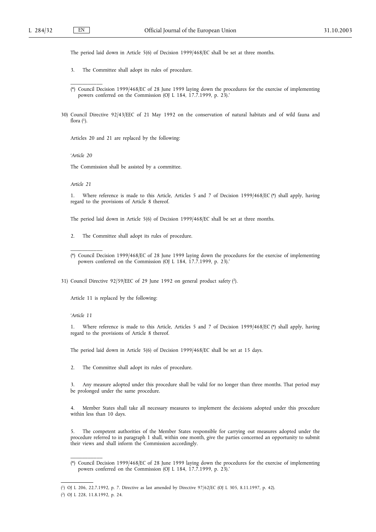\_\_\_\_\_\_\_\_\_\_\_

The period laid down in Article 5(6) of Decision 1999/468/EC shall be set at three months.

- 3. The Committee shall adopt its rules of procedure.
- (\*) Council Decision 1999/468/EC of 28 June 1999 laying down the procedures for the exercise of implementing powers conferred on the Commission (OJ L 184, 17.7.1999, p. 23).'
- 30) Council Directive 92/43/EEC of 21 May 1992 on the conservation of natural habitats and of wild fauna and flora  $(1)$ .

Articles 20 and 21 are replaced by the following:

*'Article 20*

The Commission shall be assisted by a committee.

*Article 21*

\_\_\_\_\_\_\_\_\_\_\_

1. Where reference is made to this Article, Articles 5 and 7 of Decision 1999/468/EC (\*) shall apply, having regard to the provisions of Article 8 thereof.

The period laid down in Article 5(6) of Decision 1999/468/EC shall be set at three months.

2. The Committee shall adopt its rules of procedure.

31) Council Directive 92/59/EEC of 29 June 1992 on general product safety (2).

Article 11 is replaced by the following:

*'Article 11*

1. Where reference is made to this Article, Articles 5 and 7 of Decision 1999/468/EC (\*) shall apply, having regard to the provisions of Article 8 thereof.

The period laid down in Article 5(6) of Decision 1999/468/EC shall be set at 15 days.

2. The Committee shall adopt its rules of procedure.

3. Any measure adopted under this procedure shall be valid for no longer than three months. That period may be prolonged under the same procedure.

4. Member States shall take all necessary measures to implement the decisions adopted under this procedure within less than 10 days.

5. The competent authorities of the Member States responsible for carrying out measures adopted under the procedure referred to in paragraph 1 shall, within one month, give the parties concerned an opportunity to submit their views and shall inform the Commission accordingly.

<sup>(\*)</sup> Council Decision 1999/468/EC of 28 June 1999 laying down the procedures for the exercise of implementing powers conferred on the Commission (OJ L 184, 17.7.1999, p. 23).'

<sup>(\*)</sup> Council Decision 1999/468/EC of 28 June 1999 laying down the procedures for the exercise of implementing powers conferred on the Commission (OJ L 184, 17.7.1999, p. 23).'

<sup>(</sup> 1) OJ L 206, 22.7.1992, p. 7. Directive as last amended by Directive 97/62/EC (OJ L 305, 8.11.1997, p. 42).

<sup>(</sup> 2) OJ L 228, 11.8.1992, p. 24.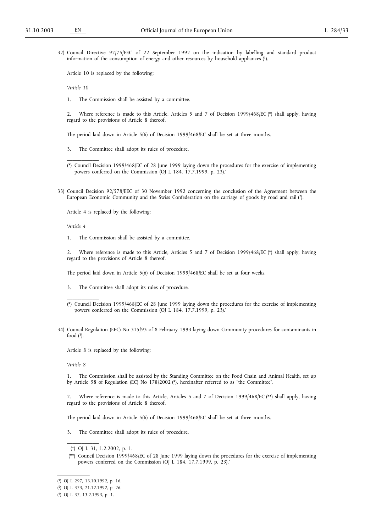32) Council Directive 92/75/EEC of 22 September 1992 on the indication by labelling and standard product information of the consumption of energy and other resources by household appliances (1).

Article 10 is replaced by the following:

*'Article 10*

\_\_\_\_\_\_\_\_\_\_\_

1. The Commission shall be assisted by a committee.

2. Where reference is made to this Article, Articles 5 and 7 of Decision 1999/468/EC (\*) shall apply, having regard to the provisions of Article 8 thereof.

The period laid down in Article 5(6) of Decision 1999/468/EC shall be set at three months.

- 3. The Committee shall adopt its rules of procedure.
- (\*) Council Decision 1999/468/EC of 28 June 1999 laying down the procedures for the exercise of implementing powers conferred on the Commission (OJ L 184, 17.7.1999, p. 23).'
- 33) Council Decision 92/578/EEC of 30 November 1992 concerning the conclusion of the Agreement between the European Economic Community and the Swiss Confederation on the carriage of goods by road and rail (2).

Article 4 is replaced by the following:

*'Article 4*

1. The Commission shall be assisted by a committee.

2. Where reference is made to this Article, Articles 5 and 7 of Decision 1999/468/EC (\*) shall apply, having regard to the provisions of Article 8 thereof.

The period laid down in Article 5(6) of Decision 1999/468/EC shall be set at four weeks.

- 3. The Committee shall adopt its rules of procedure.
- (\*) Council Decision 1999/468/EC of 28 June 1999 laying down the procedures for the exercise of implementing powers conferred on the Commission (OJ L 184, 17.7.1999, p. 23).'
- 34) Council Regulation (EEC) No 315/93 of 8 February 1993 laying down Community procedures for contaminants in food  $(3)$ .

Article 8 is replaced by the following:

*'Article 8*

\_\_\_\_\_\_\_\_\_\_\_

1. The Commission shall be assisted by the Standing Committee on the Food Chain and Animal Health, set up by Article 58 of Regulation (EC) No 178/2002 (\*), hereinafter referred to as "the Committee".

Where reference is made to this Article, Articles 5 and 7 of Decision 1999/468/EC (\*\*) shall apply, having regard to the provisions of Article 8 thereof.

The period laid down in Article 5(6) of Decision 1999/468/EC shall be set at three months.

The Committee shall adopt its rules of procedure.

<sup>(\*)</sup> OJ L 31, 1.2.2002, p. 1.

<sup>(\*\*)</sup> Council Decision 1999/468/EC of 28 June 1999 laying down the procedures for the exercise of implementing powers conferred on the Commission (OJ L 184, 17.7.1999, p. 23).'

<sup>(</sup> 1) OJ L 297, 13.10.1992, p. 16.

<sup>(</sup> 2) OJ L 373, 21.12.1992, p. 26.

<sup>(</sup> 3) OJ L 37, 13.2.1993, p. 1.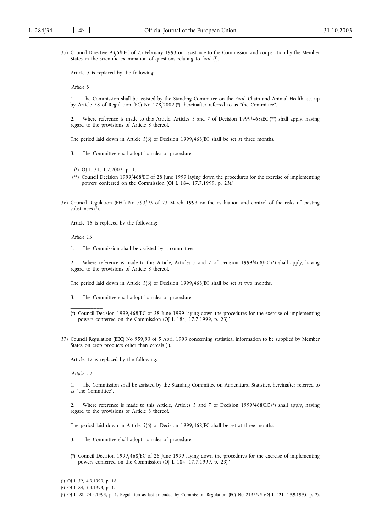35) Council Directive 93/5/EEC of 25 February 1993 on assistance to the Commission and cooperation by the Member States in the scientific examination of questions relating to food (1).

Article 5 is replaced by the following:

*'Article 5*

1. The Commission shall be assisted by the Standing Committee on the Food Chain and Animal Health, set up by Article 58 of Regulation (EC) No 178/2002 (\*), hereinafter referred to as "the Committee".

2. Where reference is made to this Article, Articles 5 and 7 of Decision 1999/468/EC (\*\*) shall apply, having regard to the provisions of Article 8 thereof.

The period laid down in Article 5(6) of Decision 1999/468/EC shall be set at three months.

3. The Committee shall adopt its rules of procedure.

\_\_\_\_\_\_\_\_\_\_\_

- (\*\*) Council Decision 1999/468/EC of 28 June 1999 laying down the procedures for the exercise of implementing powers conferred on the Commission (OJ L 184, 17.7.1999, p. 23).'
- 36) Council Regulation (EEC) No 793/93 of 23 March 1993 on the evaluation and control of the risks of existing substances (2).

Article 15 is replaced by the following:

*'Article 15*

1. The Commission shall be assisted by a committee.

2. Where reference is made to this Article, Articles 5 and 7 of Decision 1999/468/EC (\*) shall apply, having regard to the provisions of Article 8 thereof.

The period laid down in Article 5(6) of Decision 1999/468/EC shall be set at two months.

- 3. The Committee shall adopt its rules of procedure.
- (\*) Council Decision 1999/468/EC of 28 June 1999 laying down the procedures for the exercise of implementing powers conferred on the Commission (OJ L 184, 17.7.1999, p. 23).'
- 37) Council Regulation (EEC) No 959/93 of 5 April 1993 concerning statistical information to be supplied by Member States on crop products other than cereals (3).

Article 12 is replaced by the following:

*'Article 12*

\_\_\_\_\_\_\_\_\_\_\_

1. The Commission shall be assisted by the Standing Committee on Agricultural Statistics, hereinafter referred to as "the Committee".

2. Where reference is made to this Article, Articles 5 and 7 of Decision 1999/468/EC (\*) shall apply, having regard to the provisions of Article 8 thereof.

The period laid down in Article 5(6) of Decision 1999/468/EC shall be set at three months.

- 3. The Committee shall adopt its rules of procedure.
- (\*) Council Decision 1999/468/EC of 28 June 1999 laying down the procedures for the exercise of implementing powers conferred on the Commission (OJ L 184, 17.7.1999, p. 23).'

<sup>(\*)</sup> OJ L 31, 1.2.2002, p. 1.

<sup>(</sup> 1) OJ L 52, 4.3.1993, p. 18.

<sup>(</sup> 2) OJ L 84, 5.4.1993, p. 1.

<sup>(</sup> 3) OJ L 98, 24.4.1993, p. 1. Regulation as last amended by Commission Regulation (EC) No 2197/95 (OJ L 221, 19.9.1995, p. 2).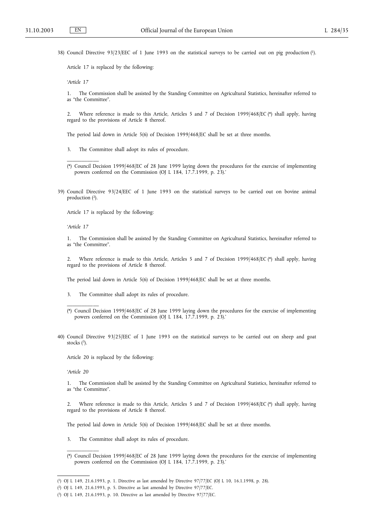38) Council Directive 93/23/EEC of 1 June 1993 on the statistical surveys to be carried out on pig production (1).

Article 17 is replaced by the following:

*'Article 17*

1. The Commission shall be assisted by the Standing Committee on Agricultural Statistics, hereinafter referred to as "the Committee".

2. Where reference is made to this Article, Articles 5 and 7 of Decision 1999/468/EC (\*) shall apply, having regard to the provisions of Article 8 thereof.

The period laid down in Article 5(6) of Decision 1999/468/EC shall be set at three months.

- 3. The Committee shall adopt its rules of procedure.
- (\*) Council Decision 1999/468/EC of 28 June 1999 laying down the procedures for the exercise of implementing powers conferred on the Commission (OJ L 184, 17.7.1999, p. 23).'
- 39) Council Directive 93/24/EEC of 1 June 1993 on the statistical surveys to be carried out on bovine animal production (2).

Article 17 is replaced by the following:

*'Article 17*

\_\_\_\_\_\_\_\_\_\_\_

1. The Commission shall be assisted by the Standing Committee on Agricultural Statistics, hereinafter referred to as "the Committee".

2. Where reference is made to this Article, Articles 5 and 7 of Decision 1999/468/EC (\*) shall apply, having regard to the provisions of Article 8 thereof.

The period laid down in Article 5(6) of Decision 1999/468/EC shall be set at three months.

- 3. The Committee shall adopt its rules of procedure.
- (\*) Council Decision 1999/468/EC of 28 June 1999 laying down the procedures for the exercise of implementing powers conferred on the Commission (OJ L 184, 17.7.1999, p. 23).'
- 40) Council Directive 93/25/EEC of 1 June 1993 on the statistical surveys to be carried out on sheep and goat stocks  $(3)$ .

Article 20 is replaced by the following:

*'Article 20*

\_\_\_\_\_\_\_\_\_\_\_

\_\_\_\_\_\_\_\_\_\_\_

1. The Commission shall be assisted by the Standing Committee on Agricultural Statistics, hereinafter referred to as "the Committee".

2. Where reference is made to this Article, Articles 5 and 7 of Decision 1999/468/EC (\*) shall apply, having regard to the provisions of Article 8 thereof.

The period laid down in Article 5(6) of Decision 1999/468/EC shall be set at three months.

- 3. The Committee shall adopt its rules of procedure.
- (\*) Council Decision 1999/468/EC of 28 June 1999 laying down the procedures for the exercise of implementing powers conferred on the Commission (OJ L 184, 17.7.1999, p. 23).'

<sup>(</sup> 1) OJ L 149, 21.6.1993, p. 1. Directive as last amended by Directive 97/77/EC (OJ L 10, 16.1.1998, p. 28).

<sup>(</sup> 2) OJ L 149, 21.6.1993, p. 5. Directive as last amended by Directive 97/77/EC.

<sup>(</sup> 3) OJ L 149, 21.6.1993, p. 10. Directive as last amended by Directive 97/77/EC.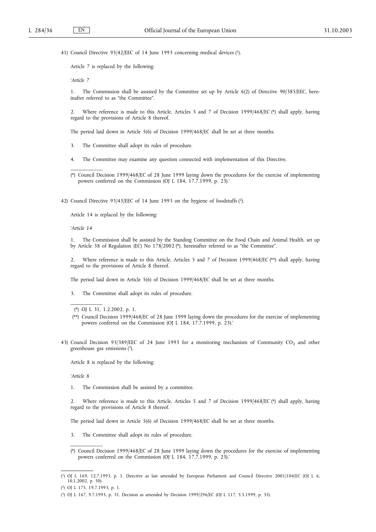41) Council Directive 93/42/EEC of 14 June 1993 concerning medical devices (1).

Article 7 is replaced by the following:

*'Article 7*

1. The Commission shall be assisted by the Committee set up by Article 6(2) of Directive 90/385/EEC, hereinafter referred to as "the Committee".

2. Where reference is made to this Article, Articles 5 and 7 of Decision 1999/468/EC (\*) shall apply, having regard to the provisions of Article 8 thereof.

The period laid down in Article 5(6) of Decision 1999/468/EC shall be set at three months.

- 3. The Committee shall adopt its rules of procedure.
- 4. The Committee may examine any question connected with implementation of this Directive.

(\*) Council Decision 1999/468/EC of 28 June 1999 laying down the procedures for the exercise of implementing powers conferred on the Commission (OJ L 184, 17.7.1999, p. 23).'

42) Council Directive 93/43/EEC of 14 June 1993 on the hygiene of foodstuffs (2).

Article 14 is replaced by the following:

*'Article 14*

\_\_\_\_\_\_\_\_\_\_\_

1. The Commission shall be assisted by the Standing Committee on the Food Chain and Animal Health, set up by Article 58 of Regulation (EC) No 178/2002 (\*), hereinafter referred to as "the Committee".

2. Where reference is made to this Article, Articles 5 and 7 of Decision 1999/468/EC (\*\*) shall apply, having regard to the provisions of Article 8 thereof.

The period laid down in Article 5(6) of Decision 1999/468/EC shall be set at three months.

3. The Committee shall adopt its rules of procedure.

\_\_\_\_\_\_\_\_\_\_\_

43) Council Decision 93/389/EEC of 24 June 1993 for a monitoring mechanism of Community CO<sub>2</sub> and other greenhouse gas emissions (3).

Article 8 is replaced by the following:

*'Article 8*

1. The Commission shall be assisted by a committee.

2. Where reference is made to this Article, Articles 5 and 7 of Decision 1999/468/EC (\*) shall apply, having regard to the provisions of Article 8 thereof.

The period laid down in Article 5(6) of Decision 1999/468/EC shall be set at three months.

- 3. The Committee shall adopt its rules of procedure.
- (\*) Council Decision 1999/468/EC of 28 June 1999 laying down the procedures for the exercise of implementing powers conferred on the Commission (OJ L 184, 17.7.1999, p. 23).'

<sup>(\*)</sup> OJ L 31, 1.2.2002, p. 1.

<sup>(\*\*)</sup> Council Decision 1999/468/EC of 28 June 1999 laying down the procedures for the exercise of implementing powers conferred on the Commission (OJ L 184, 17.7.1999, p. 23).'

<sup>(</sup> 1) OJ L 169, 12.7.1993, p. 1. Directive as last amended by European Parliament and Council Directive 2001/104/EC (OJ L 6, 10.1.2002, p. 50).

<sup>(</sup> 2) OJ L 175, 19.7.1993, p. 1.

<sup>(</sup> 3) OJ L 167, 9.7.1993, p. 31. Decision as amended by Decision 1999/296/EC (OJ L 117, 5.5.1999, p. 35).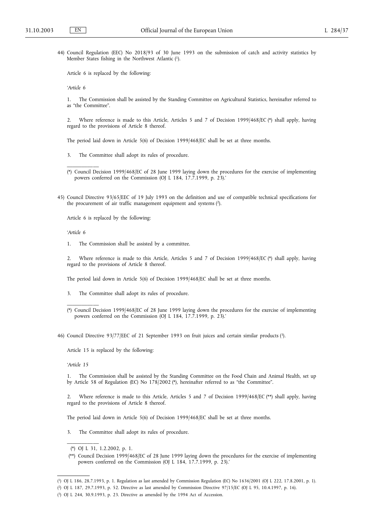44) Council Regulation (EEC) No 2018/93 of 30 June 1993 on the submission of catch and activity statistics by Member States fishing in the Northwest Atlantic (1).

Article 6 is replaced by the following:

*'Article 6*

1. The Commission shall be assisted by the Standing Committee on Agricultural Statistics, hereinafter referred to as "the Committee".

2. Where reference is made to this Article, Articles 5 and 7 of Decision 1999/468/EC (\*) shall apply, having regard to the provisions of Article 8 thereof.

The period laid down in Article 5(6) of Decision 1999/468/EC shall be set at three months.

- 3. The Committee shall adopt its rules of procedure.
- (\*) Council Decision 1999/468/EC of 28 June 1999 laying down the procedures for the exercise of implementing powers conferred on the Commission (OJ L 184, 17.7.1999, p. 23).'
- 45) Council Directive 93/65/EEC of 19 July 1993 on the definition and use of compatible technical specifications for the procurement of air traffic management equipment and systems (2).

Article 6 is replaced by the following:

*'Article 6*

\_\_\_\_\_\_\_\_\_\_\_

1. The Commission shall be assisted by a committee.

2. Where reference is made to this Article, Articles 5 and 7 of Decision 1999/468/EC (\*) shall apply, having regard to the provisions of Article 8 thereof.

The period laid down in Article 5(6) of Decision 1999/468/EC shall be set at three months.

3. The Committee shall adopt its rules of procedure.

46) Council Directive 93/77/EEC of 21 September 1993 on fruit juices and certain similar products (3).

Article 15 is replaced by the following:

*'Article 15*

\_\_\_\_\_\_\_\_\_\_\_

\_\_\_\_\_\_\_\_\_\_\_

1. The Commission shall be assisted by the Standing Committee on the Food Chain and Animal Health, set up by Article 58 of Regulation (EC) No 178/2002 (\*), hereinafter referred to as "the Committee".

2. Where reference is made to this Article, Articles 5 and 7 of Decision 1999/468/EC (\*\*) shall apply, having regard to the provisions of Article 8 thereof.

The period laid down in Article 5(6) of Decision 1999/468/EC shall be set at three months.

3. The Committee shall adopt its rules of procedure.

<sup>(\*)</sup> Council Decision 1999/468/EC of 28 June 1999 laying down the procedures for the exercise of implementing powers conferred on the Commission (OJ L 184, 17.7.1999, p. 23).'

<sup>(\*)</sup> OJ L 31, 1.2.2002, p. 1.

<sup>(\*\*)</sup> Council Decision 1999/468/EC of 28 June 1999 laying down the procedures for the exercise of implementing powers conferred on the Commission (OJ L 184, 17.7.1999, p. 23).'

<sup>(</sup> 1) OJ L 186, 28.7.1993, p. 1. Regulation as last amended by Commission Regulation (EC) No 1636/2001 (OJ L 222, 17.8.2001, p. 1).

<sup>(</sup> 2) OJ L 187, 29.7.1993, p. 52. Directive as last amended by Commission Directive 97/15/EC (OJ L 95, 10.4.1997, p. 16).

<sup>(</sup> 3) OJ L 244, 30.9.1993, p. 23. Directive as amended by the 1994 Act of Accession.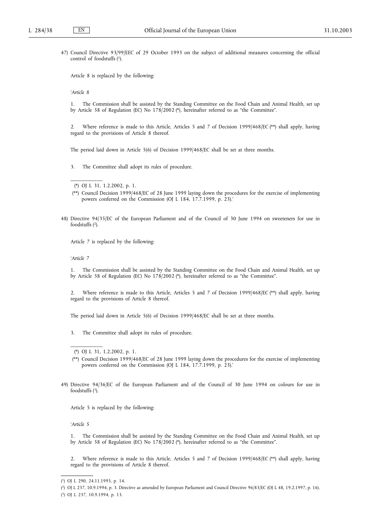47) Council Directive 93/99/EEC of 29 October 1993 on the subject of additional measures concerning the official control of foodstuffs (1).

Article 8 is replaced by the following:

*'Article 8*

1. The Commission shall be assisted by the Standing Committee on the Food Chain and Animal Health, set up by Article 58 of Regulation (EC) No 178/2002 (\*), hereinafter referred to as "the Committee".

2. Where reference is made to this Article, Articles 5 and 7 of Decision 1999/468/EC (\*\*) shall apply, having regard to the provisions of Article 8 thereof.

The period laid down in Article 5(6) of Decision 1999/468/EC shall be set at three months.

3. The Committee shall adopt its rules of procedure.

\_\_\_\_\_\_\_\_\_\_\_

- (\*\*) Council Decision 1999/468/EC of 28 June 1999 laying down the procedures for the exercise of implementing powers conferred on the Commission (OJ L 184, 17.7.1999, p. 23).'
- 48) Directive 94/35/EC of the European Parliament and of the Council of 30 June 1994 on sweeteners for use in foodstuffs (2).

Article 7 is replaced by the following:

*'Article 7*

1. The Commission shall be assisted by the Standing Committee on the Food Chain and Animal Health, set up by Article 58 of Regulation (EC) No 178/2002 (\*), hereinafter referred to as "the Committee".

2. Where reference is made to this Article, Articles 5 and 7 of Decision 1999/468/EC (\*\*) shall apply, having regard to the provisions of Article 8 thereof.

The period laid down in Article 5(6) of Decision 1999/468/EC shall be set at three months.

3. The Committee shall adopt its rules of procedure.

\_\_\_\_\_\_\_\_\_\_\_

49) Directive 94/36/EC of the European Parliament and of the Council of 30 June 1994 on colours for use in foodstuffs (3).

Article 5 is replaced by the following:

*'Article 5*

1. The Commission shall be assisted by the Standing Committee on the Food Chain and Animal Health, set up by Article 58 of Regulation (EC) No 178/2002 (\*), hereinafter referred to as "the Committee".

2. Where reference is made to this Article, Articles 5 and 7 of Decision 1999/468/EC (\*\*) shall apply, having regard to the provisions of Article 8 thereof.

<sup>(\*)</sup> OJ L 31, 1.2.2002, p. 1.

<sup>(\*)</sup> OJ L 31, 1.2.2002, p. 1.

<sup>(\*\*)</sup> Council Decision 1999/468/EC of 28 June 1999 laying down the procedures for the exercise of implementing powers conferred on the Commission (OJ L 184, 17.7.1999, p. 23).'

<sup>(</sup> 1) OJ L 290, 24.11.1993, p. 14.

<sup>(</sup> 2) OJ L 237, 10.9.1994, p. 3. Directive as amended by European Parliament and Council Directive 96/83/EC (OJ L 48, 19.2.1997, p. 16).

<sup>(</sup> 3) OJ L 237, 10.9.1994, p. 13.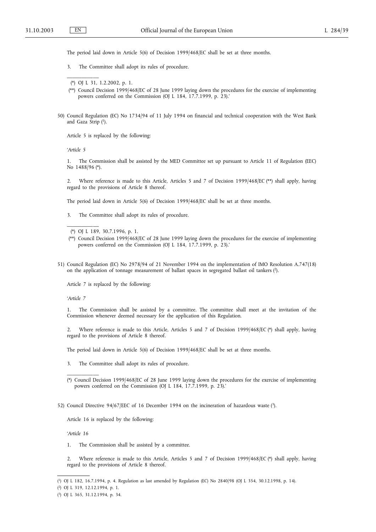The period laid down in Article 5(6) of Decision 1999/468/EC shall be set at three months.

3. The Committee shall adopt its rules of procedure.

\_\_\_\_\_\_\_\_\_\_\_

- (\*\*) Council Decision 1999/468/EC of 28 June 1999 laying down the procedures for the exercise of implementing powers conferred on the Commission (OJ L 184, 17.7.1999, p. 23).'
- 50) Council Regulation (EC) No 1734/94 of 11 July 1994 on financial and technical cooperation with the West Bank and Gaza Strip (1).

Article 5 is replaced by the following:

*'Article 5*

\_\_\_\_\_\_\_\_\_\_\_

1. The Commission shall be assisted by the MED Committee set up pursuant to Article 11 of Regulation (EEC) No 1488/96 (\*).

2. Where reference is made to this Article, Articles 5 and 7 of Decision 1999/468/EC (\*\*) shall apply, having regard to the provisions of Article 8 thereof.

The period laid down in Article 5(6) of Decision 1999/468/EC shall be set at three months.

3. The Committee shall adopt its rules of procedure.

- (\*\*) Council Decision 1999/468/EC of 28 June 1999 laying down the procedures for the exercise of implementing powers conferred on the Commission (OJ L 184, 17.7.1999, p. 23).'
- 51) Council Regulation (EC) No 2978/94 of 21 November 1994 on the implementation of IMO Resolution A.747(18) on the application of tonnage measurement of ballast spaces in segregated ballast oil tankers (2).

Article 7 is replaced by the following:

*'Article 7*

1. The Commission shall be assisted by a committee. The committee shall meet at the invitation of the Commission whenever deemed necessary for the application of this Regulation.

2. Where reference is made to this Article, Articles 5 and 7 of Decision 1999/468/EC (\*) shall apply, having regard to the provisions of Article 8 thereof.

The period laid down in Article 5(6) of Decision 1999/468/EC shall be set at three months.

3. The Committee shall adopt its rules of procedure.

52) Council Directive 94/67/EEC of 16 December 1994 on the incineration of hazardous waste (3).

Article 16 is replaced by the following:

*'Article 16*

\_\_\_\_\_\_\_\_\_\_\_

1. The Commission shall be assisted by a committee.

2. Where reference is made to this Article, Articles 5 and 7 of Decision 1999/468/EC (\*) shall apply, having regard to the provisions of Article 8 thereof.

<sup>(\*)</sup> OJ L 31, 1.2.2002, p. 1.

<sup>(\*)</sup> OJ L 189, 30.7.1996, p. 1.

<sup>(\*)</sup> Council Decision 1999/468/EC of 28 June 1999 laying down the procedures for the exercise of implementing powers conferred on the Commission (OJ L 184, 17.7.1999, p. 23).'

<sup>(</sup> 1) OJ L 182, 16.7.1994, p. 4. Regulation as last amended by Regulation (EC) No 2840/98 (OJ L 354, 30.12.1998, p. 14).

<sup>(</sup> 2) OJ L 319, 12.12.1994, p. 1.

<sup>(</sup> 3) OJ L 365, 31.12.1994, p. 34.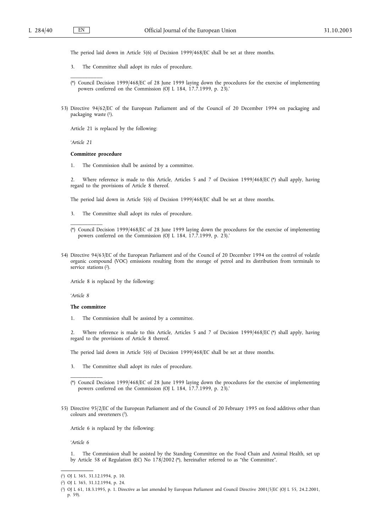\_\_\_\_\_\_\_\_\_\_\_

The period laid down in Article 5(6) of Decision 1999/468/EC shall be set at three months.

- 3. The Committee shall adopt its rules of procedure.
- (\*) Council Decision 1999/468/EC of 28 June 1999 laying down the procedures for the exercise of implementing powers conferred on the Commission (OJ L 184, 17.7.1999, p. 23).'
- 53) Directive 94/62/EC of the European Parliament and of the Council of 20 December 1994 on packaging and packaging waste (1).

Article 21 is replaced by the following:

*'Article 21*

#### **Committee procedure**

1. The Commission shall be assisted by a committee.

2. Where reference is made to this Article, Articles 5 and 7 of Decision 1999/468/EC (\*) shall apply, having regard to the provisions of Article 8 thereof.

The period laid down in Article 5(6) of Decision 1999/468/EC shall be set at three months.

3. The Committee shall adopt its rules of procedure.

54) Directive 94/63/EC of the European Parliament and of the Council of 20 December 1994 on the control of volatile organic compound (VOC) emissions resulting from the storage of petrol and its distribution from terminals to service stations (2).

Article 8 is replaced by the following:

*'Article 8*

# **The committee**

\_\_\_\_\_\_\_\_\_\_\_

\_\_\_\_\_\_\_\_\_\_\_

1. The Commission shall be assisted by a committee.

2. Where reference is made to this Article, Articles 5 and 7 of Decision 1999/468/EC (\*) shall apply, having regard to the provisions of Article 8 thereof.

The period laid down in Article 5(6) of Decision 1999/468/EC shall be set at three months.

- 3. The Committee shall adopt its rules of procedure.
- (\*) Council Decision 1999/468/EC of 28 June 1999 laying down the procedures for the exercise of implementing powers conferred on the Commission (OJ L 184, 17.7.1999, p. 23).'
- 55) Directive 95/2/EC of the European Parliament and of the Council of 20 February 1995 on food additives other than colours and sweeteners (3).

Article 6 is replaced by the following:

*'Article 6*

1. The Commission shall be assisted by the Standing Committee on the Food Chain and Animal Health, set up by Article 58 of Regulation (EC) No 178/2002 (\*), hereinafter referred to as "the Committee".

<sup>(\*)</sup> Council Decision 1999/468/EC of 28 June 1999 laying down the procedures for the exercise of implementing powers conferred on the Commission (OJ L 184, 17.7.1999, p. 23).'

<sup>(</sup> 1) OJ L 365, 31.12.1994, p. 10.

<sup>(</sup> 2) OJ L 365, 31.12.1994, p. 24.

<sup>(</sup> 3) OJ L 61, 18.3.1995, p. 1. Directive as last amended by European Parliament and Council Directive 2001/5/EC (OJ L 55, 24.2.2001, p. 59).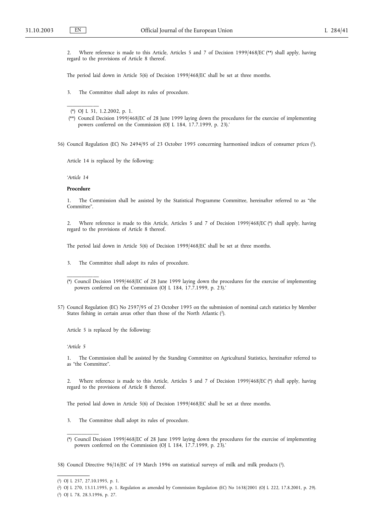\_\_\_\_\_\_\_\_\_\_\_

2. Where reference is made to this Article, Articles 5 and 7 of Decision 1999/468/EC (\*\*) shall apply, having regard to the provisions of Article 8 thereof.

The period laid down in Article 5(6) of Decision 1999/468/EC shall be set at three months.

3. The Committee shall adopt its rules of procedure.

(\*) OJ L 31, 1.2.2002, p. 1.

56) Council Regulation (EC) No 2494/95 of 23 October 1995 concerning harmonised indices of consumer prices (1).

Article 14 is replaced by the following:

*'Article 14*

### **Procedure**

1. The Commission shall be assisted by the Statistical Programme Committee, hereinafter referred to as "the Committee".

2. Where reference is made to this Article, Articles 5 and 7 of Decision 1999/468/EC (\*) shall apply, having regard to the provisions of Article 8 thereof.

The period laid down in Article 5(6) of Decision 1999/468/EC shall be set at three months.

3. The Committee shall adopt its rules of procedure.

- (\*) Council Decision 1999/468/EC of 28 June 1999 laying down the procedures for the exercise of implementing powers conferred on the Commission (OJ L 184, 17.7.1999, p. 23).'
- 57) Council Regulation (EC) No 2597/95 of 23 October 1995 on the submission of nominal catch statistics by Member States fishing in certain areas other than those of the North Atlantic (2).

Article 5 is replaced by the following:

*'Article 5*

\_\_\_\_\_\_\_\_\_\_\_

1. The Commission shall be assisted by the Standing Committee on Agricultural Statistics, hereinafter referred to as "the Committee".

2. Where reference is made to this Article, Articles 5 and 7 of Decision 1999/468/EC (\*) shall apply, having regard to the provisions of Article 8 thereof.

The period laid down in Article 5(6) of Decision 1999/468/EC shall be set at three months.

- 3. The Committee shall adopt its rules of procedure.
- (\*) Council Decision 1999/468/EC of 28 June 1999 laying down the procedures for the exercise of implementing powers conferred on the Commission (OJ L 184, 17.7.1999, p. 23).'

58) Council Directive 96/16/EC of 19 March 1996 on statistical surveys of milk and milk products (3).

\_\_\_\_\_\_\_\_\_\_\_

( 3) OJ L 78, 28.3.1996, p. 27.

<sup>(\*\*)</sup> Council Decision 1999/468/EC of 28 June 1999 laying down the procedures for the exercise of implementing powers conferred on the Commission (OJ L 184, 17.7.1999, p. 23).'

<sup>(</sup> 1) OJ L 257, 27.10.1995, p. 1.

<sup>(</sup> 2) OJ L 270, 13.11.1995, p. 1. Regulation as amended by Commission Regulation (EC) No 1638/2001 (OJ L 222, 17.8.2001, p. 29).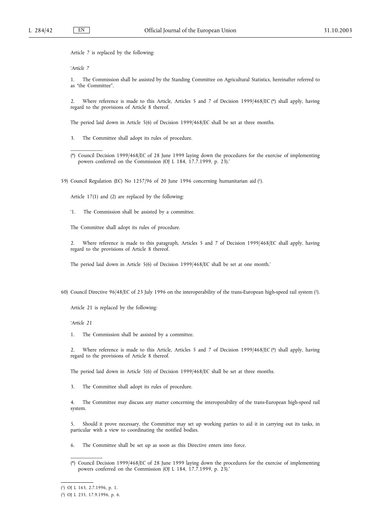Article 7 is replaced by the following:

*'Article 7*

\_\_\_\_\_\_\_\_\_\_\_

1. The Commission shall be assisted by the Standing Committee on Agricultural Statistics, hereinafter referred to as "the Committee".

2. Where reference is made to this Article, Articles 5 and 7 of Decision 1999/468/EC (\*) shall apply, having regard to the provisions of Article 8 thereof.

The period laid down in Article 5(6) of Decision 1999/468/EC shall be set at three months.

3. The Committee shall adopt its rules of procedure.

(\*) Council Decision 1999/468/EC of 28 June 1999 laying down the procedures for the exercise of implementing powers conferred on the Commission (OJ L 184, 17.7.1999, p. 23).'

59) Council Regulation (EC) No 1257/96 of 20 June 1996 concerning humanitarian aid (1).

Article 17(1) and (2) are replaced by the following:

'1. The Commission shall be assisted by a committee.

The Committee shall adopt its rules of procedure.

2. Where reference is made to this paragraph, Articles 5 and 7 of Decision 1999/468/EC shall apply, having regard to the provisions of Article 8 thereof.

The period laid down in Article 5(6) of Decision 1999/468/EC shall be set at one month.'

60) Council Directive 96/48/EC of 23 July 1996 on the interoperability of the trans-European high-speed rail system (2).

Article 21 is replaced by the following:

*'Article 21*

1. The Commission shall be assisted by a committee.

2. Where reference is made to this Article, Articles 5 and 7 of Decision 1999/468/EC (\*) shall apply, having regard to the provisions of Article 8 thereof.

The period laid down in Article 5(6) of Decision 1999/468/EC shall be set at three months.

3. The Committee shall adopt its rules of procedure.

4. The Committee may discuss any matter concerning the interoperability of the trans-European high-speed rail system.

5. Should it prove necessary, the Committee may set up working parties to aid it in carrying out its tasks, in particular with a view to coordinating the notified bodies.

6. The Committee shall be set up as soon as this Directive enters into force.

<sup>(\*)</sup> Council Decision 1999/468/EC of 28 June 1999 laying down the procedures for the exercise of implementing powers conferred on the Commission (OJ L 184, 17.7.1999, p. 23).'

<sup>(</sup> 1) OJ L 163, 2.7.1996, p. 1.

<sup>(</sup> 2) OJ L 235, 17.9.1996, p. 6.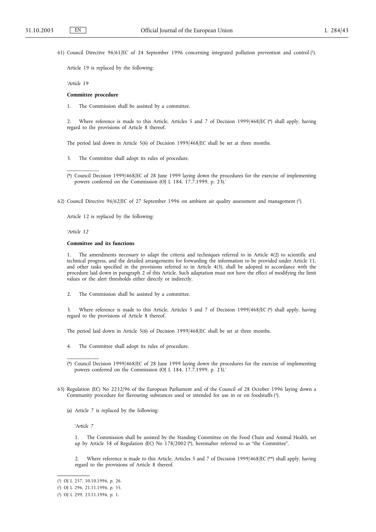61) Council Directive 96/61/EC of 24 September 1996 concerning integrated pollution prevention and control (1).

Article 19 is replaced by the following:

*'Article 19*

#### **Committee procedure**

1. The Commission shall be assisted by a committee.

2. Where reference is made to this Article, Articles 5 and 7 of Decision 1999/468/EC (\*) shall apply, having regard to the provisions of Article 8 thereof.

The period laid down in Article 5(6) of Decision 1999/468/EC shall be set at three months.

3. The Committee shall adopt its rules of procedure.

62) Council Directive 96/62/EC of 27 September 1996 on ambient air quality assessment and management (2).

Article 12 is replaced by the following:

*'Article 12*

\_\_\_\_\_\_\_\_\_\_\_

#### **Committee and its functions**

1. The amendments necessary to adapt the criteria and techniques referred to in Article 4(2) to scientific and technical progress, and the detailed arrangements for forwarding the information to be provided under Article 11, and other tasks specified in the provisions referred to in Article 4(3), shall be adopted in accordance with the procedure laid down in paragraph 2 of this Article. Such adaptation must not have the effect of modifying the limit values or the alert thresholds either directly or indirectly.

2. The Commission shall be assisted by a committee.

3. Where reference is made to this Article, Articles 5 and 7 of Decision 1999/468/EC (\*) shall apply, having regard to the provisions of Article 8 thereof.

The period laid down in Article 5(6) of Decision 1999/468/EC shall be set at three months.

4. The Committee shall adopt its rules of procedure.

- 63) Regulation (EC) No 2232/96 of the European Parliament and of the Council of 28 October 1996 laying down a Community procedure for flavouring substances used or intended for use in or on foodstuffs (3).
	- (a) Article 7 is replaced by the following:

*'Article 7*

\_\_\_\_\_\_\_\_\_\_\_

1. The Commission shall be assisted by the Standing Committee on the Food Chain and Animal Health, set up by Article 58 of Regulation (EC) No 178/2002 (\*), hereinafter referred to as "the Committee".

2. Where reference is made to this Article, Articles 5 and 7 of Decision 1999/468/EC (\*\*) shall apply, having regard to the provisions of Article 8 thereof.

<sup>(\*)</sup> Council Decision 1999/468/EC of 28 June 1999 laying down the procedures for the exercise of implementing powers conferred on the Commission (OJ L 184, 17.7.1999, p. 23).'

<sup>(\*)</sup> Council Decision 1999/468/EC of 28 June 1999 laying down the procedures for the exercise of implementing powers conferred on the Commission (OJ L 184, 17.7.1999, p. 23).'

<sup>(</sup> 1) OJ L 257, 10.10.1996, p. 26.

<sup>(</sup> 2) OJ L 296, 21.11.1996, p. 55.

<sup>(</sup> 3) OJ L 299, 23.11.1996, p. 1.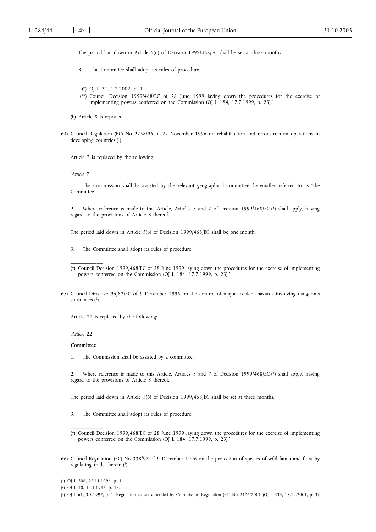The period laid down in Article 5(6) of Decision 1999/468/EC shall be set at three months.

3. The Committee shall adopt its rules of procedure.

- (\*\*) Council Decision 1999/468/EC of 28 June 1999 laying down the procedures for the exercise of implementing powers conferred on the Commission (OJ L 184, 17.7.1999, p. 23).'
- (b) Article 8 is repealed.

\_\_\_\_\_\_\_\_\_\_\_

64) Council Regulation (EC) No 2258/96 of 22 November 1996 on rehabilitation and reconstruction operations in developing countries  $(1)$ .

Article 7 is replaced by the following:

*'Article 7*

1. The Commission shall be assisted by the relevant geographical committee, hereinafter referred to as "the Committee".

2. Where reference is made to this Article, Articles 5 and 7 of Decision 1999/468/EC (\*) shall apply, having regard to the provisions of Article 8 thereof.

The period laid down in Article 5(6) of Decision 1999/468/EC shall be one month.

- 3. The Committee shall adopt its rules of procedure.
- (\*) Council Decision 1999/468/EC of 28 June 1999 laying down the procedures for the exercise of implementing powers conferred on the Commission (OJ L 184, 17.7.1999, p. 23).'
- 65) Council Directive 96/82/EC of 9 December 1996 on the control of major-accident hazards involving dangerous substances (2).

Article 22 is replaced by the following:

*'Article 22*

\_\_\_\_\_\_\_\_\_\_\_

#### **Committee**

1. The Commission shall be assisted by a committee.

2. Where reference is made to this Article, Articles 5 and 7 of Decision 1999/468/EC (\*) shall apply, having regard to the provisions of Article 8 thereof.

The period laid down in Article 5(6) of Decision 1999/468/EC shall be set at three months.

- 3. The Committee shall adopt its rules of procedure.
- (\*) Council Decision 1999/468/EC of 28 June 1999 laying down the procedures for the exercise of implementing powers conferred on the Commission (OJ L 184, 17.7.1999, p. 23).'
- 66) Council Regulation (EC) No 338/97 of 9 December 1996 on the protection of species of wild fauna and flora by regulating trade therein (3).

<sup>(\*)</sup> OJ L 31, 1.2.2002, p. 1.

<sup>(</sup> 1) OJ L 306, 28.11.1996, p. 1.

<sup>(</sup> 2) OJ L 10, 14.1.1997, p. 13.

<sup>(</sup> 3) OJ L 61, 3.3.1997, p. 1. Regulation as last amended by Commission Regulation (EC) No 2476/2001 (OJ L 334, 18.12.2001, p. 3).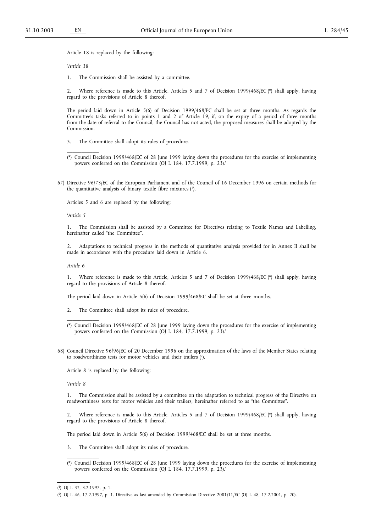Article 18 is replaced by the following:

*'Article 18*

1. The Commission shall be assisted by a committee.

2. Where reference is made to this Article, Articles 5 and 7 of Decision 1999/468/EC (\*) shall apply, having regard to the provisions of Article 8 thereof.

The period laid down in Article 5(6) of Decision 1999/468/EC shall be set at three months. As regards the Committee's tasks referred to in points 1 and 2 of Article 19, if, on the expiry of a period of three months from the date of referral to the Council, the Council has not acted, the proposed measures shall be adopted by the Commission.

- 3. The Committee shall adopt its rules of procedure.
- (\*) Council Decision 1999/468/EC of 28 June 1999 laying down the procedures for the exercise of implementing powers conferred on the Commission (OJ L 184, 17.7.1999, p. 23).'
- 67) Directive 96/73/EC of the European Parliament and of the Council of 16 December 1996 on certain methods for the quantitative analysis of binary textile fibre mixtures  $(1)$ .

Articles 5 and 6 are replaced by the following:

*'Article 5*

\_\_\_\_\_\_\_\_\_\_\_

1. The Commission shall be assisted by a Committee for Directives relating to Textile Names and Labelling, hereinafter called "the Committee".

2. Adaptations to technical progress in the methods of quantitative analysis provided for in Annex II shall be made in accordance with the procedure laid down in Article 6.

*Article 6*

\_\_\_\_\_\_\_\_\_\_\_

1. Where reference is made to this Article, Articles 5 and 7 of Decision 1999/468/EC (\*) shall apply, having regard to the provisions of Article 8 thereof.

The period laid down in Article 5(6) of Decision 1999/468/EC shall be set at three months.

- 2. The Committee shall adopt its rules of procedure.
- (\*) Council Decision 1999/468/EC of 28 June 1999 laying down the procedures for the exercise of implementing powers conferred on the Commission (OJ L 184, 17.7.1999, p. 23).'
- 68) Council Directive 96/96/EC of 20 December 1996 on the approximation of the laws of the Member States relating to roadworthiness tests for motor vehicles and their trailers (2).

Article 8 is replaced by the following:

*'Article 8*

1. The Commission shall be assisted by a committee on the adaptation to technical progress of the Directive on roadworthiness tests for motor vehicles and their trailers, hereinafter referred to as "the Committee".

2. Where reference is made to this Article, Articles 5 and 7 of Decision 1999/468/EC (\*) shall apply, having regard to the provisions of Article 8 thereof.

The period laid down in Article 5(6) of Decision 1999/468/EC shall be set at three months.

3. The Committee shall adopt its rules of procedure.

<sup>(\*)</sup> Council Decision 1999/468/EC of 28 June 1999 laying down the procedures for the exercise of implementing powers conferred on the Commission (OJ L 184, 17.7.1999, p. 23).'

<sup>(</sup> 1) OJ L 32, 3.2.1997, p. 1.

<sup>(</sup> 2) OJ L 46, 17.2.1997, p. 1. Directive as last amended by Commission Directive 2001/11/EC (OJ L 48, 17.2.2001, p. 20).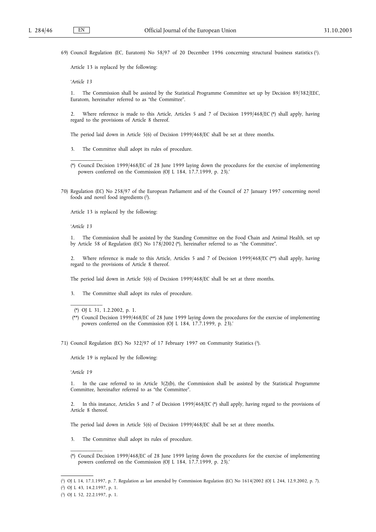69) Council Regulation (EC, Euratom) No 58/97 of 20 December 1996 concerning structural business statistics (1).

Article 13 is replaced by the following:

*'Article 13*

1. The Commission shall be assisted by the Statistical Programme Committee set up by Decision 89/382/EEC, Euratom, hereinafter referred to as "the Committee".

2. Where reference is made to this Article, Articles 5 and 7 of Decision 1999/468/EC (\*) shall apply, having regard to the provisions of Article 8 thereof.

The period laid down in Article 5(6) of Decision 1999/468/EC shall be set at three months.

- 3. The Committee shall adopt its rules of procedure.
- (\*) Council Decision 1999/468/EC of 28 June 1999 laying down the procedures for the exercise of implementing powers conferred on the Commission (OJ L 184, 17.7.1999, p. 23).'
- 70) Regulation (EC) No 258/97 of the European Parliament and of the Council of 27 January 1997 concerning novel foods and novel food ingredients (2).

Article 13 is replaced by the following:

*'Article 13*

\_\_\_\_\_\_\_\_\_\_\_

1. The Commission shall be assisted by the Standing Committee on the Food Chain and Animal Health, set up by Article 58 of Regulation (EC) No 178/2002 (\*), hereinafter referred to as "the Committee".

2. Where reference is made to this Article, Articles 5 and 7 of Decision 1999/468/EC (\*\*) shall apply, having regard to the provisions of Article 8 thereof.

The period laid down in Article 5(6) of Decision 1999/468/EC shall be set at three months.

3. The Committee shall adopt its rules of procedure.

Article 19 is replaced by the following:

*'Article 19*

\_\_\_\_\_\_\_\_\_\_\_

1. In the case referred to in Article 3(2)(b), the Commission shall be assisted by the Statistical Programme Committee, hereinafter referred to as "the Committee".

2. In this instance, Articles 5 and 7 of Decision 1999/468/EC (\*) shall apply, having regard to the provisions of Article 8 thereof.

The period laid down in Article 5(6) of Decision 1999/468/EC shall be set at three months.

- 3. The Committee shall adopt its rules of procedure.
- (\*) Council Decision 1999/468/EC of 28 June 1999 laying down the procedures for the exercise of implementing powers conferred on the Commission (OJ L 184, 17.7.1999, p. 23).'

<sup>(\*)</sup> OJ L 31, 1.2.2002, p. 1.

<sup>(\*\*)</sup> Council Decision 1999/468/EC of 28 June 1999 laying down the procedures for the exercise of implementing powers conferred on the Commission (OJ L 184, 17.7.1999, p. 23).'

<sup>71)</sup> Council Regulation (EC) No 322/97 of 17 February 1997 on Community Statistics (3).

<sup>(</sup> 1) OJ L 14, 17.1.1997, p. 7. Regulation as last amended by Commission Regulation (EC) No 1614/2002 (OJ L 244, 12.9.2002, p. 7).

<sup>(</sup> 2) OJ L 43, 14.2.1997, p. 1.

<sup>(</sup> 3) OJ L 52, 22.2.1997, p. 1.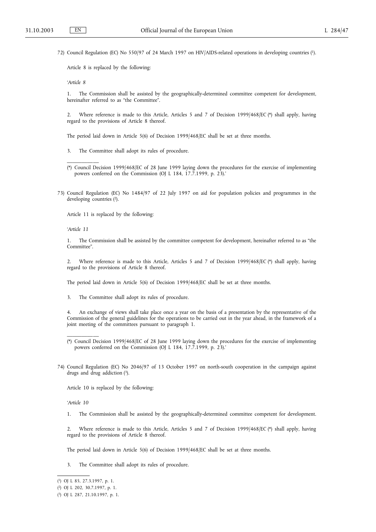72) Council Regulation (EC) No 550/97 of 24 March 1997 on HIV/AIDS-related operations in developing countries (1).

Article 8 is replaced by the following:

*'Article 8*

1. The Commission shall be assisted by the geographically-determined committee competent for development, hereinafter referred to as "the Committee".

2. Where reference is made to this Article, Articles 5 and 7 of Decision 1999/468/EC (\*) shall apply, having regard to the provisions of Article 8 thereof.

The period laid down in Article 5(6) of Decision 1999/468/EC shall be set at three months.

- 3. The Committee shall adopt its rules of procedure.
- (\*) Council Decision 1999/468/EC of 28 June 1999 laying down the procedures for the exercise of implementing powers conferred on the Commission (OJ L 184, 17.7.1999, p. 23).'
- 73) Council Regulation (EC) No 1484/97 of 22 July 1997 on aid for population policies and programmes in the developing countries (2).

Article 11 is replaced by the following:

*'Article 11*

\_\_\_\_\_\_\_\_\_\_\_

1. The Commission shall be assisted by the committee competent for development, hereinafter referred to as "the Committee".

2. Where reference is made to this Article, Articles 5 and 7 of Decision 1999/468/EC (\*) shall apply, having regard to the provisions of Article 8 thereof.

The period laid down in Article 5(6) of Decision 1999/468/EC shall be set at three months.

3. The Committee shall adopt its rules of procedure.

4. An exchange of views shall take place once a year on the basis of a presentation by the representative of the Commission of the general guidelines for the operations to be carried out in the year ahead, in the framework of a joint meeting of the committees pursuant to paragraph 1.

Article 10 is replaced by the following:

*'Article 10*

\_\_\_\_\_\_\_\_\_\_\_

1. The Commission shall be assisted by the geographically-determined committee competent for development.

2. Where reference is made to this Article, Articles 5 and 7 of Decision 1999/468/EC (\*) shall apply, having regard to the provisions of Article 8 thereof.

The period laid down in Article 5(6) of Decision 1999/468/EC shall be set at three months.

3. The Committee shall adopt its rules of procedure.

<sup>(\*)</sup> Council Decision 1999/468/EC of 28 June 1999 laying down the procedures for the exercise of implementing powers conferred on the Commission (OJ L 184, 17.7.1999, p. 23).'

<sup>74)</sup> Council Regulation (EC) No 2046/97 of 13 October 1997 on north-south cooperation in the campaign against drugs and drug addiction (3).

<sup>(</sup> 1) OJ L 85, 27.3.1997, p. 1.

<sup>(</sup> 2) OJ L 202, 30.7.1997, p. 1.

<sup>(</sup> 3) OJ L 287, 21.10.1997, p. 1.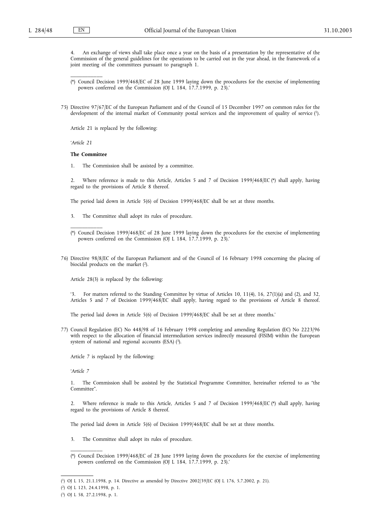\_\_\_\_\_\_\_\_\_\_\_

4. An exchange of views shall take place once a year on the basis of a presentation by the representative of the Commission of the general guidelines for the operations to be carried out in the year ahead, in the framework of a joint meeting of the committees pursuant to paragraph 1.

- (\*) Council Decision 1999/468/EC of 28 June 1999 laying down the procedures for the exercise of implementing powers conferred on the Commission (OJ L 184, 17.7.1999, p. 23).'
- 75) Directive 97/67/EC of the European Parliament and of the Council of 15 December 1997 on common rules for the development of the internal market of Community postal services and the improvement of quality of service (1).

Article 21 is replaced by the following:

*'Article 21*

### **The Committee**

\_\_\_\_\_\_\_\_\_\_\_

1. The Commission shall be assisted by a committee.

2. Where reference is made to this Article, Articles 5 and 7 of Decision 1999/468/EC (\*) shall apply, having regard to the provisions of Article 8 thereof.

The period laid down in Article 5(6) of Decision 1999/468/EC shall be set at three months.

3. The Committee shall adopt its rules of procedure.

76) Directive 98/8/EC of the European Parliament and of the Council of 16 February 1998 concerning the placing of biocidal products on the market (2).

Article 28(3) is replaced by the following:

'3. For matters referred to the Standing Committee by virtue of Articles 10, 11(4), 16, 27(1)(a) and (2), and 32, Articles 5 and 7 of Decision 1999/468/EC shall apply, having regard to the provisions of Article 8 thereof.

The period laid down in Article 5(6) of Decision 1999/468/EC shall be set at three months.'

77) Council Regulation (EC) No 448/98 of 16 February 1998 completing and amending Regulation (EC) No 2223/96 with respect to the allocation of financial intermediation services indirectly measured (FISIM) within the European system of national and regional accounts (ESA) (3).

Article 7 is replaced by the following:

*'Article 7*

1. The Commission shall be assisted by the Statistical Programme Committee, hereinafter referred to as "the Committee".

2. Where reference is made to this Article, Articles 5 and 7 of Decision 1999/468/EC (\*) shall apply, having regard to the provisions of Article 8 thereof.

The period laid down in Article 5(6) of Decision 1999/468/EC shall be set at three months.

- 3. The Committee shall adopt its rules of procedure.
- (\*) Council Decision 1999/468/EC of 28 June 1999 laying down the procedures for the exercise of implementing powers conferred on the Commission (OJ L 184, 17.7.1999, p. 23).'

<sup>(\*)</sup> Council Decision 1999/468/EC of 28 June 1999 laying down the procedures for the exercise of implementing powers conferred on the Commission (OJ L 184, 17.7.1999, p. 23).'

<sup>(</sup> 1) OJ L 15, 21.1.1998, p. 14. Directive as amended by Directive 2002/39/EC (OJ L 176, 5.7.2002, p. 21).

<sup>(</sup> 2) OJ L 123, 24.4.1998, p. 1.

<sup>(</sup> 3) OJ L 58, 27.2.1998, p. 1.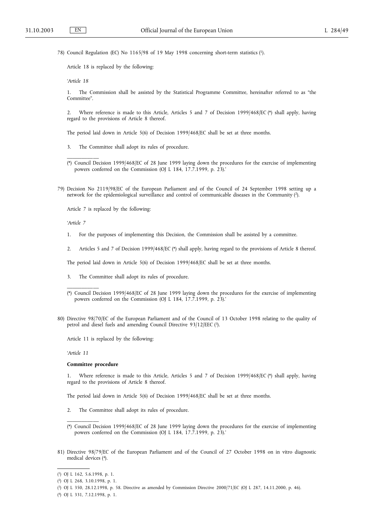78) Council Regulation (EC) No 1165/98 of 19 May 1998 concerning short-term statistics (1).

Article 18 is replaced by the following:

*'Article 18*

\_\_\_\_\_\_\_\_\_\_\_

1. The Commission shall be assisted by the Statistical Programme Committee, hereinafter referred to as "the Committee".

2. Where reference is made to this Article, Articles 5 and 7 of Decision 1999/468/EC (\*) shall apply, having regard to the provisions of Article 8 thereof.

The period laid down in Article 5(6) of Decision 1999/468/EC shall be set at three months.

- 3. The Committee shall adopt its rules of procedure.
- (\*) Council Decision 1999/468/EC of 28 June 1999 laying down the procedures for the exercise of implementing powers conferred on the Commission (OJ L 184, 17.7.1999, p. 23).'
- 79) Decision No 2119/98/EC of the European Parliament and of the Council of 24 September 1998 setting up a network for the epidemiological surveillance and control of communicable diseases in the Community (2).

Article 7 is replaced by the following:

*'Article 7*

1. For the purposes of implementing this Decision, the Commission shall be assisted by a committee.

2. Articles 5 and 7 of Decision 1999/468/EC (\*) shall apply, having regard to the provisions of Article 8 thereof.

The period laid down in Article 5(6) of Decision 1999/468/EC shall be set at three months.

- 3. The Committee shall adopt its rules of procedure.
- (\*) Council Decision 1999/468/EC of 28 June 1999 laying down the procedures for the exercise of implementing powers conferred on the Commission (OJ L 184, 17.7.1999, p. 23).'
- 80) Directive 98/70/EC of the European Parliament and of the Council of 13 October 1998 relating to the quality of petrol and diesel fuels and amending Council Directive 93/12/EEC (3).

Article 11 is replaced by the following:

*'Article 11*

\_\_\_\_\_\_\_\_\_\_\_

## **Committee procedure**

Where reference is made to this Article, Articles 5 and 7 of Decision 1999/468/EC (\*) shall apply, having regard to the provisions of Article 8 thereof.

The period laid down in Article 5(6) of Decision 1999/468/EC shall be set at three months.

- 2. The Committee shall adopt its rules of procedure.
- (\*) Council Decision 1999/468/EC of 28 June 1999 laying down the procedures for the exercise of implementing powers conferred on the Commission (OJ L 184, 17.7.1999, p. 23).'
- 81) Directive 98/79/EC of the European Parliament and of the Council of 27 October 1998 on in vitro diagnostic medical devices (4).

<sup>(</sup> 1) OJ L 162, 5.6.1998, p. 1.

<sup>(</sup> 2) OJ L 268, 3.10.1998, p. 1.

<sup>(</sup> 3) OJ L 350, 28.12.1998, p. 58. Directive as amended by Commission Directive 2000/71/EC (OJ L 287, 14.11.2000, p. 46).

<sup>(</sup> 4) OJ L 331, 7.12.1998, p. 1.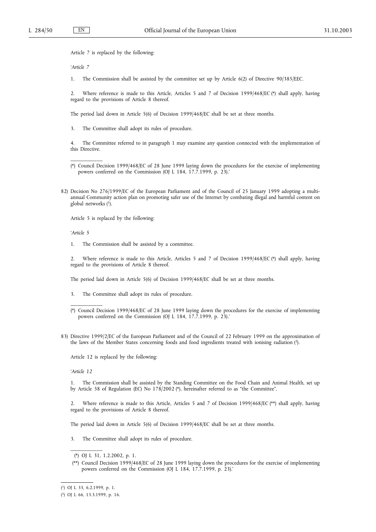Article 7 is replaced by the following:

*'Article 7*

1. The Commission shall be assisted by the committee set up by Article 6(2) of Directive 90/385/EEC.

2. Where reference is made to this Article, Articles 5 and 7 of Decision 1999/468/EC (\*) shall apply, having regard to the provisions of Article 8 thereof.

The period laid down in Article 5(6) of Decision 1999/468/EC shall be set at three months.

3. The Committee shall adopt its rules of procedure.

4. The Committee referred to in paragraph 1 may examine any question connected with the implementation of this Directive.

- (\*) Council Decision 1999/468/EC of 28 June 1999 laying down the procedures for the exercise of implementing powers conferred on the Commission (OJ L 184, 17.7.1999, p. 23).'
- 82) Decision No 276/1999/EC of the European Parliament and of the Council of 25 January 1999 adopting a multiannual Community action plan on promoting safer use of the Internet by combating illegal and harmful content on global networks  $(1)$ .

Article 5 is replaced by the following:

*'Article 5*

\_\_\_\_\_\_\_\_\_\_\_

1. The Commission shall be assisted by a committee.

2. Where reference is made to this Article, Articles 5 and 7 of Decision 1999/468/EC (\*) shall apply, having regard to the provisions of Article 8 thereof.

The period laid down in Article 5(6) of Decision 1999/468/EC shall be set at three months.

- 3. The Committee shall adopt its rules of procedure.
- (\*) Council Decision 1999/468/EC of 28 June 1999 laying down the procedures for the exercise of implementing powers conferred on the Commission (OJ L 184, 17.7.1999, p. 23).'
- 83) Directive 1999/2/EC of the European Parliament and of the Council of 22 February 1999 on the approximation of the laws of the Member States concerning foods and food ingredients treated with ionising radiation (2).

Article 12 is replaced by the following:

*'Article 12*

\_\_\_\_\_\_\_\_\_\_\_

1. The Commission shall be assisted by the Standing Committee on the Food Chain and Animal Health, set up by Article 58 of Regulation (EC) No 178/2002 (\*), hereinafter referred to as "the Committee".

2. Where reference is made to this Article, Articles 5 and 7 of Decision 1999/468/EC (\*\*) shall apply, having regard to the provisions of Article 8 thereof.

The period laid down in Article 5(6) of Decision 1999/468/EC shall be set at three months.

3. The Committee shall adopt its rules of procedure.

<sup>(\*)</sup> OJ L 31, 1.2.2002, p. 1.

<sup>(\*\*)</sup> Council Decision 1999/468/EC of 28 June 1999 laying down the procedures for the exercise of implementing powers conferred on the Commission (OJ L 184, 17.7.1999, p. 23).'

<sup>(</sup> 1) OJ L 33, 6.2.1999, p. 1.

<sup>(</sup> 2) OJ L 66, 13.3.1999, p. 16.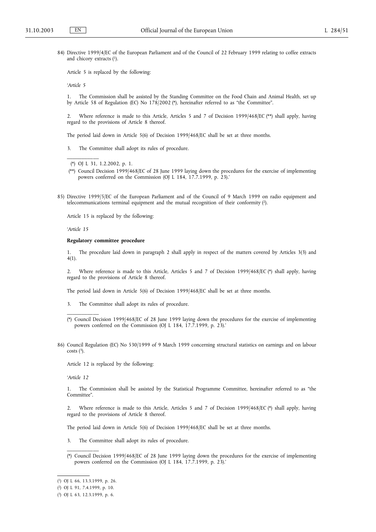84) Directive 1999/4/EC of the European Parliament and of the Council of 22 February 1999 relating to coffee extracts and chicory extracts (1).

Article 5 is replaced by the following:

*'Article 5*

1. The Commission shall be assisted by the Standing Committee on the Food Chain and Animal Health, set up by Article 58 of Regulation (EC) No 178/2002 (\*), hereinafter referred to as "the Committee".

2. Where reference is made to this Article, Articles 5 and 7 of Decision 1999/468/EC (\*\*) shall apply, having regard to the provisions of Article 8 thereof.

The period laid down in Article 5(6) of Decision 1999/468/EC shall be set at three months.

3. The Committee shall adopt its rules of procedure.

(\*) OJ L 31, 1.2.2002, p. 1.

\_\_\_\_\_\_\_\_\_\_\_

- (\*\*) Council Decision 1999/468/EC of 28 June 1999 laying down the procedures for the exercise of implementing powers conferred on the Commission (OJ L 184, 17.7.1999, p. 23).'
- 85) Directive 1999/5/EC of the European Parliament and of the Council of 9 March 1999 on radio equipment and telecommunications terminal equipment and the mutual recognition of their conformity (2).

Article 15 is replaced by the following:

*'Article 15*

#### **Regulatory committee procedure**

1. The procedure laid down in paragraph 2 shall apply in respect of the matters covered by Articles 3(3) and 4(1).

2. Where reference is made to this Article, Articles 5 and 7 of Decision 1999/468/EC (\*) shall apply, having regard to the provisions of Article 8 thereof.

The period laid down in Article 5(6) of Decision 1999/468/EC shall be set at three months.

3. The Committee shall adopt its rules of procedure.

86) Council Regulation (EC) No 530/1999 of 9 March 1999 concerning structural statistics on earnings and on labour costs  $(3)$ .

Article 12 is replaced by the following:

*'Article 12*

\_\_\_\_\_\_\_\_\_\_\_

1. The Commission shall be assisted by the Statistical Programme Committee, hereinafter referred to as "the Committee".

2. Where reference is made to this Article, Articles 5 and 7 of Decision 1999/468/EC (\*) shall apply, having regard to the provisions of Article 8 thereof.

The period laid down in Article 5(6) of Decision 1999/468/EC shall be set at three months.

- 3. The Committee shall adopt its rules of procedure.
- (\*) Council Decision 1999/468/EC of 28 June 1999 laying down the procedures for the exercise of implementing powers conferred on the Commission (OJ L 184, 17.7.1999, p. 23).'

<sup>(\*)</sup> Council Decision 1999/468/EC of 28 June 1999 laying down the procedures for the exercise of implementing powers conferred on the Commission (OJ L 184, 17.7.1999, p. 23).'

<sup>(</sup> 1) OJ L 66, 13.3.1999, p. 26.

<sup>(</sup> 2) OJ L 91, 7.4.1999, p. 10.

<sup>(</sup> 3) OJ L 63, 12.3.1999, p. 6.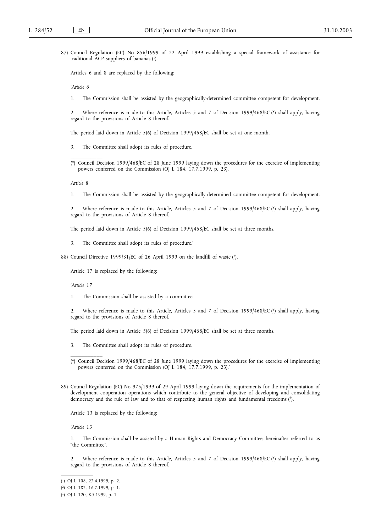87) Council Regulation (EC) No 856/1999 of 22 April 1999 establishing a special framework of assistance for traditional ACP suppliers of bananas (1).

Articles 6 and 8 are replaced by the following:

*'Article 6*

1. The Commission shall be assisted by the geographically-determined committee competent for development.

2. Where reference is made to this Article, Articles 5 and 7 of Decision 1999/468/EC (\*) shall apply, having regard to the provisions of Article 8 thereof.

The period laid down in Article 5(6) of Decision 1999/468/EC shall be set at one month.

- 3. The Committee shall adopt its rules of procedure.
- (\*) Council Decision 1999/468/EC of 28 June 1999 laying down the procedures for the exercise of implementing powers conferred on the Commission (OJ L 184, 17.7.1999, p. 23).

*Article 8*

\_\_\_\_\_\_\_\_\_\_\_

1. The Commission shall be assisted by the geographically-determined committee competent for development.

2. Where reference is made to this Article, Articles 5 and 7 of Decision 1999/468/EC (\*) shall apply, having regard to the provisions of Article 8 thereof.

The period laid down in Article 5(6) of Decision 1999/468/EC shall be set at three months.

- 3. The Committee shall adopt its rules of procedure.'
- 88) Council Directive 1999/31/EC of 26 April 1999 on the landfill of waste (2).

Article 17 is replaced by the following:

*'Article 17*

\_\_\_\_\_\_\_\_\_\_\_

1. The Commission shall be assisted by a committee.

2. Where reference is made to this Article, Articles 5 and 7 of Decision 1999/468/EC (\*) shall apply, having regard to the provisions of Article 8 thereof.

The period laid down in Article 5(6) of Decision 1999/468/EC shall be set at three months.

3. The Committee shall adopt its rules of procedure.

89) Council Regulation (EC) No 975/1999 of 29 April 1999 laying down the requirements for the implementation of development cooperation operations which contribute to the general objective of developing and consolidating democracy and the rule of law and to that of respecting human rights and fundamental freedoms (3).

Article 13 is replaced by the following:

*'Article 13*

1. The Commission shall be assisted by a Human Rights and Democracy Committee, hereinafter referred to as "the Committee".

2. Where reference is made to this Article, Articles 5 and 7 of Decision 1999/468/EC (\*) shall apply, having regard to the provisions of Article 8 thereof.

<sup>(\*)</sup> Council Decision 1999/468/EC of 28 June 1999 laying down the procedures for the exercise of implementing powers conferred on the Commission (OJ L 184, 17.7.1999, p. 23).'

<sup>(</sup> 1) OJ L 108, 27.4.1999, p. 2.

<sup>(</sup> 2) OJ L 182, 16.7.1999, p. 1.

<sup>(</sup> 3) OJ L 120, 8.5.1999, p. 1.